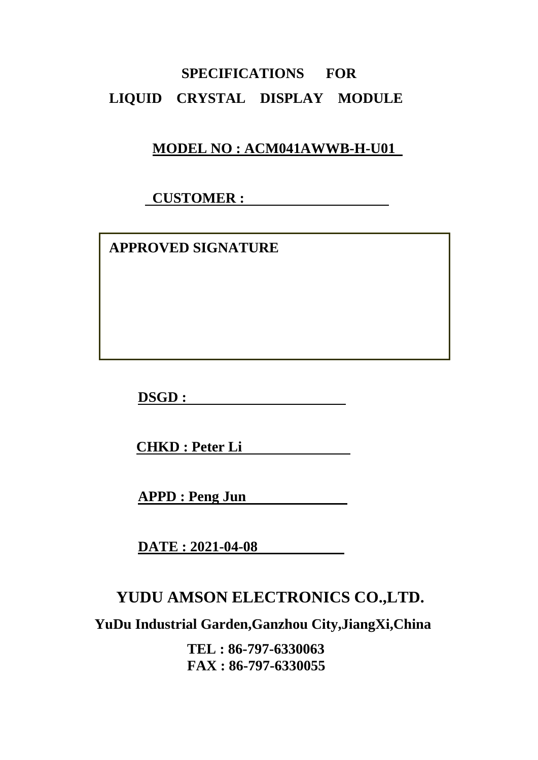# **SPECIFICATIONS FOR LIQUID CRYSTAL DISPLAY MODULE**

# **MODEL NO : ACM041AWWB-H-U01**

# **CUSTOMER :**

 **APPROVED SIGNATURE** 

**DSGD :** 

**CHKD : Peter Li** 

**APPD : Peng Jun** 

**DATE : 2021-04-08** 

# **YUDU AMSON ELECTRONICS CO.,LTD.**

**YuDu Industrial Garden,Ganzhou City,JiangXi,China** 

**TEL : 86-797-6330063 FAX : 86-797-6330055**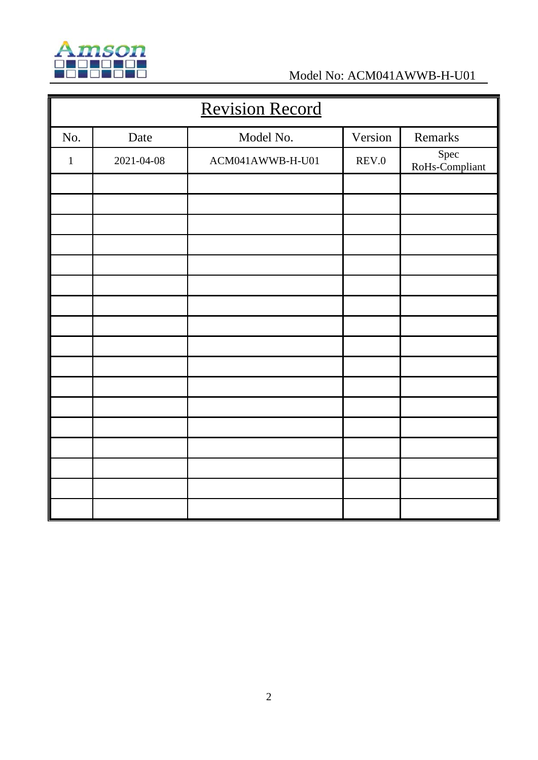

| <b>Revision Record</b> |            |                  |                                      |                        |  |
|------------------------|------------|------------------|--------------------------------------|------------------------|--|
| No.                    | Date       | Model No.        | Version                              | Remarks                |  |
| $\mathbf{1}$           | 2021-04-08 | ACM041AWWB-H-U01 | $\ensuremath{\mathsf{REV}}\xspace.0$ | Spec<br>RoHs-Compliant |  |
|                        |            |                  |                                      |                        |  |
|                        |            |                  |                                      |                        |  |
|                        |            |                  |                                      |                        |  |
|                        |            |                  |                                      |                        |  |
|                        |            |                  |                                      |                        |  |
|                        |            |                  |                                      |                        |  |
|                        |            |                  |                                      |                        |  |
|                        |            |                  |                                      |                        |  |
|                        |            |                  |                                      |                        |  |
|                        |            |                  |                                      |                        |  |
|                        |            |                  |                                      |                        |  |
|                        |            |                  |                                      |                        |  |
|                        |            |                  |                                      |                        |  |
|                        |            |                  |                                      |                        |  |
|                        |            |                  |                                      |                        |  |
|                        |            |                  |                                      |                        |  |
|                        |            |                  |                                      |                        |  |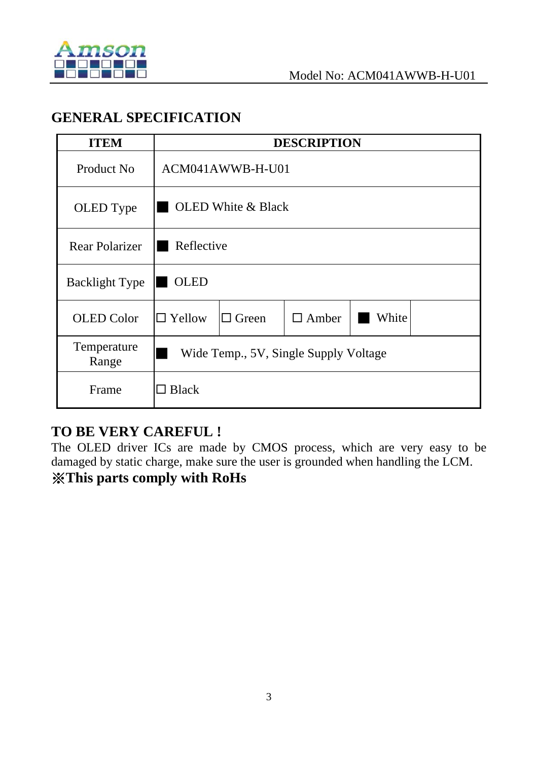

# **GENERAL SPECIFICATION**

| <b>ITEM</b>           |                                       |                  | <b>DESCRIPTION</b> |       |  |
|-----------------------|---------------------------------------|------------------|--------------------|-------|--|
| Product No            |                                       | ACM041AWWB-H-U01 |                    |       |  |
| OLED Type             | <b>OLED</b> White & Black             |                  |                    |       |  |
| <b>Rear Polarizer</b> | Reflective                            |                  |                    |       |  |
| <b>Backlight Type</b> | <b>OLED</b>                           |                  |                    |       |  |
| <b>OLED</b> Color     | $\Box$ Yellow                         | $\Box$ Green     | $\Box$ Amber       | White |  |
| Temperature<br>Range  | Wide Temp., 5V, Single Supply Voltage |                  |                    |       |  |
| Frame                 | $\Box$ Black                          |                  |                    |       |  |

# **TO BE VERY CAREFUL !**

The OLED driver ICs are made by CMOS process, which are very easy to be damaged by static charge, make sure the user is grounded when handling the LCM. ※**This parts comply with RoHs**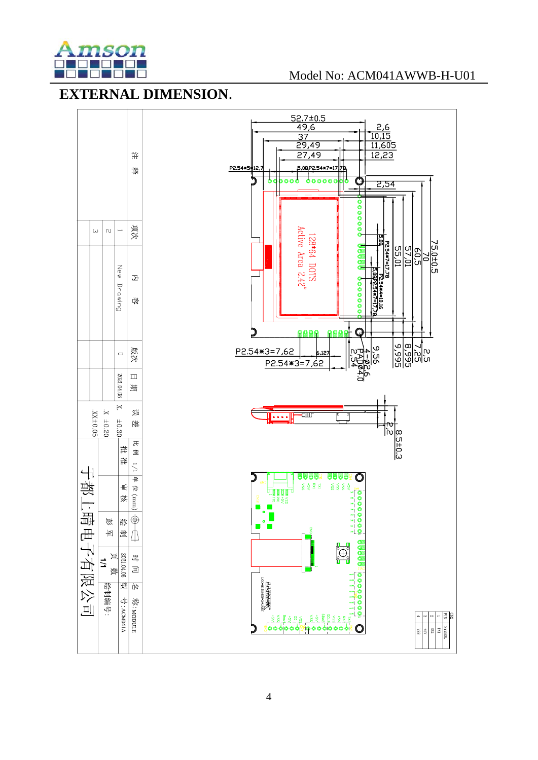

# **EXTERNAL DIMENSION**.

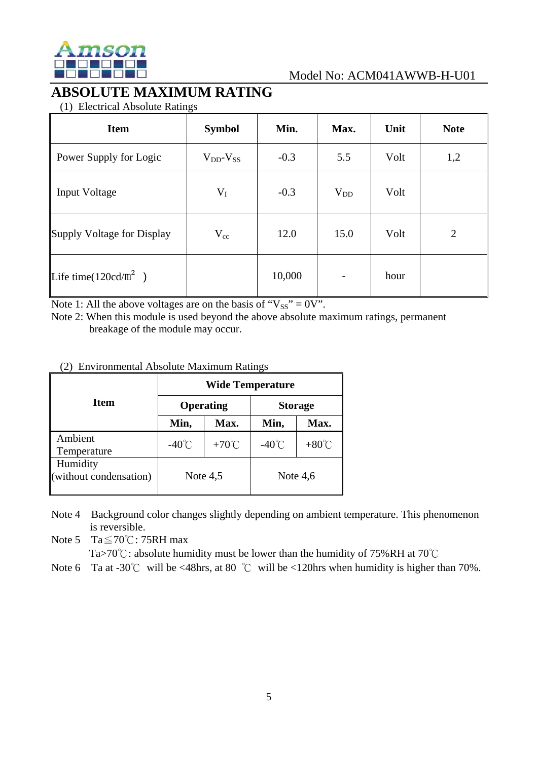

# **ABSOLUTE MAXIMUM RATING**

(1) Electrical Absolute Ratings

| <b>Item</b>                | <b>Symbol</b>       | Min.   | Max.     | Unit | <b>Note</b>    |
|----------------------------|---------------------|--------|----------|------|----------------|
| Power Supply for Logic     | $V_{DD}$ - $V_{SS}$ | $-0.3$ | 5.5      | Volt | 1,2            |
| <b>Input Voltage</b>       | $V_I$               | $-0.3$ | $V_{DD}$ | Volt |                |
| Supply Voltage for Display | $\rm V_{cc}$        | 12.0   | 15.0     | Volt | $\overline{2}$ |
| Life time( $120cd/m^2$ )   |                     | 10,000 |          | hour |                |

Note 1: All the above voltages are on the basis of " $V_{SS}$ " = 0V".

Note 2: When this module is used beyond the above absolute maximum ratings, permanent breakage of the module may occur.

#### (2) Environmental Absolute Maximum Ratings

|                                    | <b>Wide Temperature</b> |                 |                 |                 |  |
|------------------------------------|-------------------------|-----------------|-----------------|-----------------|--|
| <b>Item</b>                        |                         | Operating       | <b>Storage</b>  |                 |  |
|                                    | Min,                    | Max.            | Min,            | Max.            |  |
| Ambient<br>Temperature             | $-40^{\circ}$ C         | $+70^{\circ}$ C | $-40^{\circ}$ C | $+80^{\circ}$ C |  |
| Humidity<br>(without condensation) | Note $4,5$              |                 | Note $4,6$      |                 |  |

Note 4 Background color changes slightly depending on ambient temperature. This phenomenon is reversible.

Note 5 Ta≦70℃: 75RH max

Ta>70℃: absolute humidity must be lower than the humidity of 75%RH at 70℃

Note 6 Ta at -30℃ will be <48hrs, at 80 ℃ will be <120hrs when humidity is higher than 70%.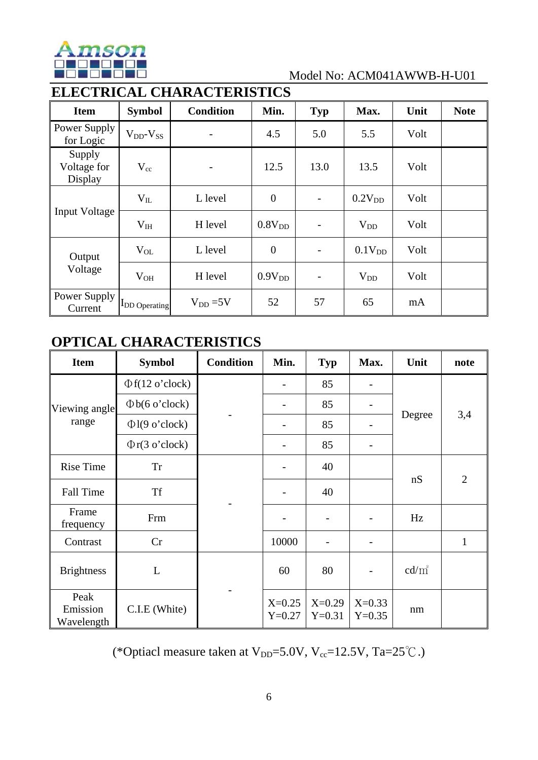

# **ELECTRICAL CHARACTERISTICS**

| <b>Item</b>                      | <b>Symbol</b>             | <b>Condition</b> | Min.               | <b>Typ</b>               | Max.               | Unit | <b>Note</b> |
|----------------------------------|---------------------------|------------------|--------------------|--------------------------|--------------------|------|-------------|
| Power Supply<br>for Logic        | $V_{DD}$ - $V_{SS}$       | -                | 4.5                | 5.0                      | 5.5                | Volt |             |
| Supply<br>Voltage for<br>Display | $V_{cc}$                  | -                | 12.5               | 13.0                     | 13.5               | Volt |             |
| <b>Input Voltage</b>             | $V_{IL}$                  | L level          | $\overline{0}$     | -                        | 0.2V <sub>DD</sub> | Volt |             |
|                                  | $V_{IH}$                  | H level          | 0.8V <sub>DD</sub> | $\overline{\phantom{a}}$ | $V_{DD}$           | Volt |             |
| Output                           | $\rm V_{OL}$              | L level          | $\mathbf{0}$       |                          | 0.1V <sub>DD</sub> | Volt |             |
| Voltage                          | $V_{OH}$                  | H level          | 0.9V <sub>DD</sub> | -                        | $V_{DD}$           | Volt |             |
| Power Supply<br>Current          | I <sub>DD</sub> Operating | $V_{DD} = 5V$    | 52                 | 57                       | 65                 | mA   |             |

# **OPTICAL CHARACTERISTICS**

| <b>Item</b>                    | <b>Symbol</b>         | <b>Condition</b> | Min.                 | Typ                      | Max.                     | Unit            | note           |
|--------------------------------|-----------------------|------------------|----------------------|--------------------------|--------------------------|-----------------|----------------|
|                                | $\Phi f(12 o' clock)$ |                  |                      | 85                       |                          |                 |                |
| Viewing angle                  | $\Phi$ b(6 o'clock)   |                  |                      | 85                       |                          |                 |                |
| range                          | $\Phi$ l(9 o'clock)   |                  |                      | 85                       |                          | Degree          | 3,4            |
|                                | $\Phi$ r(3 o'clock)   |                  |                      | 85                       |                          |                 |                |
| <b>Rise Time</b>               | <b>Tr</b>             |                  |                      | 40                       |                          |                 |                |
| Fall Time                      | <b>Tf</b>             |                  |                      | 40                       |                          | nS              | $\overline{2}$ |
| Frame<br>frequency             | Frm                   |                  |                      | $\overline{\phantom{a}}$ | $\overline{\phantom{a}}$ | Hz              |                |
| Contrast                       | Cr                    |                  | 10000                |                          |                          |                 | $\mathbf{1}$   |
| <b>Brightness</b>              | L                     |                  | 60                   | 80                       |                          | $\text{cd/m}^2$ |                |
| Peak<br>Emission<br>Wavelength | C.I.E (White)         |                  | $X=0.25$<br>$Y=0.27$ | $X=0.29$<br>$Y=0.31$     | $X=0.33$<br>$Y=0.35$     | nm              |                |

(\*Optiacl measure taken at  $V_{DD}$ =5.0V,  $V_{cc}$ =12.5V, Ta=25°C.)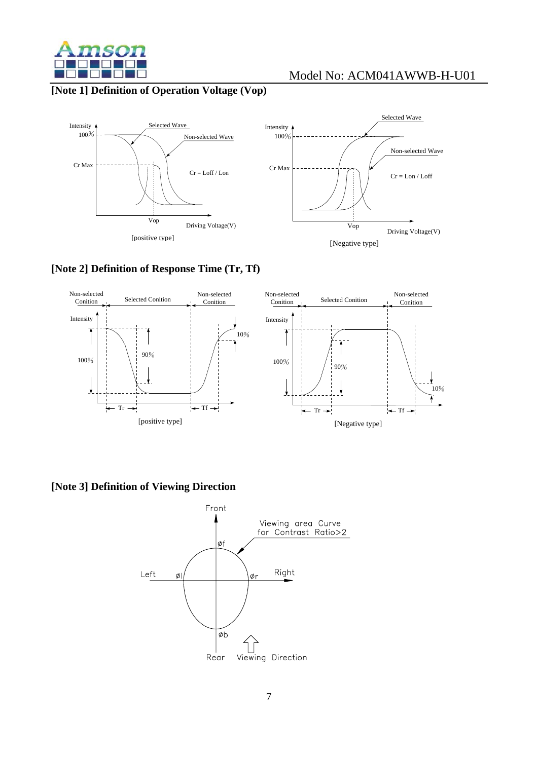

## **[Note 1] Definition of Operation Voltage (Vop)**





#### **[Note 2] Definition of Response Time (Tr, Tf)**



#### **[Note 3] Definition of Viewing Direction**

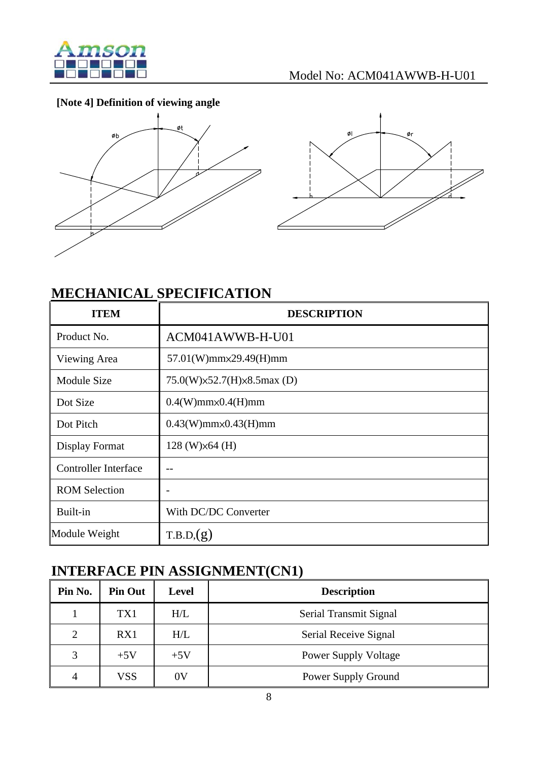

## **[Note 4] Definition of viewing angle**





# **MECHANICAL SPECIFICATION**

| <b>ITEM</b>                 | <b>DESCRIPTION</b>                    |
|-----------------------------|---------------------------------------|
| Product No.                 | ACM041AWWB-H-U01                      |
| Viewing Area                | 57.01(W)mmx29.49(H)mm                 |
| <b>Module Size</b>          | $75.0(W)\times52.7(H)\times8.5max(D)$ |
| Dot Size                    | $0.4(W)$ mm $\times$ 0.4(H)mm         |
| Dot Pitch                   | $0.43(W)$ mm $\times$ 0.43(H)mm       |
| <b>Display Format</b>       | $128$ (W) $\times$ 64 (H)             |
| <b>Controller Interface</b> |                                       |
| <b>ROM Selection</b>        |                                       |
| Built-in                    | With DC/DC Converter                  |
| Module Weight               | T.B.D.(g)                             |

# **INTERFACE PIN ASSIGNMENT(CN1)**

| Pin No.        | <b>Pin Out</b> | Level | <b>Description</b>          |
|----------------|----------------|-------|-----------------------------|
|                | TX1            | H/L   | Serial Transmit Signal      |
| $\overline{2}$ | RX1            | H/L   | Serial Receive Signal       |
| 3              | $+5V$          | $+5V$ | <b>Power Supply Voltage</b> |
| 4              | <b>VSS</b>     | 0V    | Power Supply Ground         |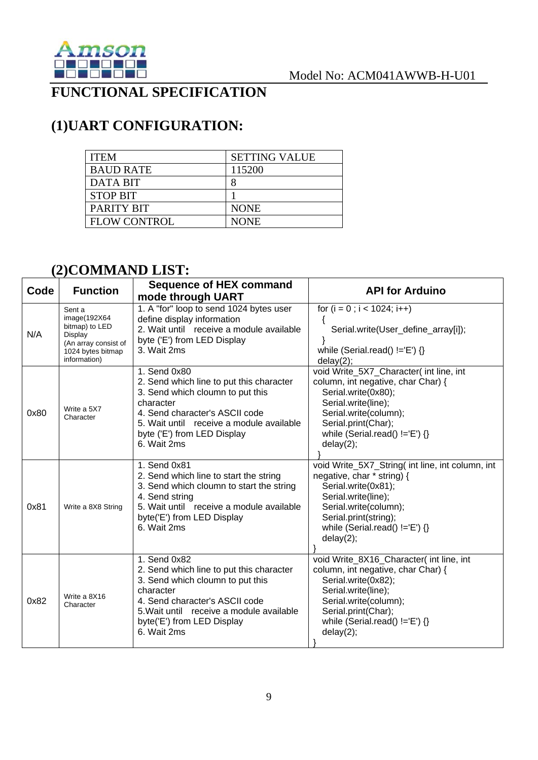

# **FUNCTIONAL SPECIFICATION**

# **(1)UART CONFIGURATION:**

| <b>ITEM</b>         | <b>SETTING VALUE</b> |
|---------------------|----------------------|
| <b>BAUD RATE</b>    | 115200               |
| <b>DATA BIT</b>     |                      |
| <b>STOP BIT</b>     |                      |
| <b>PARITY BIT</b>   | <b>NONE</b>          |
| <b>FLOW CONTROL</b> | <b>NONE</b>          |

# **(2)COMMAND LIST:**

| Code | <b>Function</b>                                                                                                   | <b>Sequence of HEX command</b><br>mode through UART                                                                                                                                                                                       | <b>API for Arduino</b>                                                                                                                                                                                                          |
|------|-------------------------------------------------------------------------------------------------------------------|-------------------------------------------------------------------------------------------------------------------------------------------------------------------------------------------------------------------------------------------|---------------------------------------------------------------------------------------------------------------------------------------------------------------------------------------------------------------------------------|
| N/A  | Sent a<br>image(192X64)<br>bitmap) to LED<br>Display<br>(An array consist of<br>1024 bytes bitmap<br>information) | 1. A "for" loop to send 1024 bytes user<br>define display information<br>2. Wait until receive a module available<br>byte ('E') from LED Display<br>3. Wait 2ms                                                                           | for $(i = 0; i < 1024; i++)$<br>₹<br>Serial.write(User_define_array[i]);<br>while (Serial.read() $!=E'$ ) {}<br>delay(2);                                                                                                       |
| 0x80 | Write a 5X7<br>Character                                                                                          | $1.$ Send $0x80$<br>2. Send which line to put this character<br>3. Send which cloumn to put this<br>character<br>4. Send character's ASCII code<br>5. Wait until receive a module available<br>byte ('E') from LED Display<br>6. Wait 2ms | void Write_5X7_Character( int line, int<br>column, int negative, char Char) {<br>Serial.write(0x80);<br>Serial.write(line);<br>Serial.write(column);<br>Serial.print(Char);<br>while (Serial.read() $!=E'$ ) {}<br>delay(2);    |
| 0x81 | Write a 8X8 String                                                                                                | 1. Send 0x81<br>2. Send which line to start the string<br>3. Send which cloumn to start the string<br>4. Send string<br>5. Wait until receive a module available<br>byte('E') from LED Display<br>6. Wait 2ms                             | void Write_5X7_String( int line, int column, int<br>negative, char * string) {<br>Serial.write(0x81);<br>Serial.write(line);<br>Serial.write(column);<br>Serial.print(string);<br>while (Serial.read() $!=E'$ ) {}<br>delay(2); |
| 0x82 | Write a 8X16<br>Character                                                                                         | 1. Send 0x82<br>2. Send which line to put this character<br>3. Send which cloumn to put this<br>character<br>4. Send character's ASCII code<br>5. Wait until receive a module available<br>byte('E') from LED Display<br>6. Wait 2ms      | void Write_8X16_Character( int line, int<br>column, int negative, char Char) {<br>Serial.write(0x82);<br>Serial.write(line);<br>Serial.write(column);<br>Serial.print(Char);<br>while (Serial.read() $!=E$ ) {}<br>delay(2);    |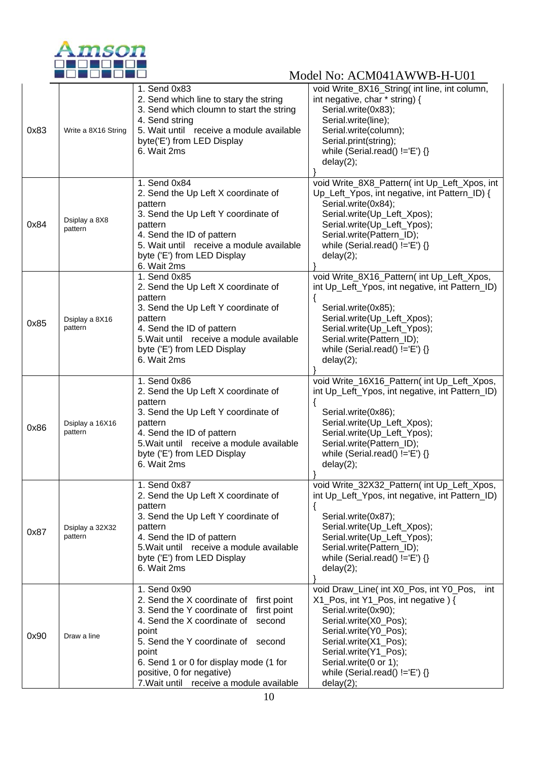

|      |                            | 1. Send 0x83                                                                                                                                                                                                                                                                                                           | void Write_8X16_String( int line, int column,                                                                                                                                                                                                                                               |
|------|----------------------------|------------------------------------------------------------------------------------------------------------------------------------------------------------------------------------------------------------------------------------------------------------------------------------------------------------------------|---------------------------------------------------------------------------------------------------------------------------------------------------------------------------------------------------------------------------------------------------------------------------------------------|
| 0x83 | Write a 8X16 String        | 2. Send which line to stary the string<br>3. Send which cloumn to start the string<br>4. Send string<br>5. Wait until receive a module available<br>byte('E') from LED Display<br>6. Wait 2ms                                                                                                                          | int negative, char * string) {<br>Serial.write(0x83);<br>Serial.write(line);<br>Serial.write(column);<br>Serial.print(string);<br>while (Serial.read() $!=$ 'E') {}<br>delay(2);                                                                                                            |
| 0x84 | Dsiplay a 8X8<br>pattern   | 1. Send 0x84<br>2. Send the Up Left X coordinate of<br>pattern<br>3. Send the Up Left Y coordinate of<br>pattern<br>4. Send the ID of pattern<br>5. Wait until receive a module available<br>byte ('E') from LED Display<br>6. Wait 2ms                                                                                | void Write_8X8_Pattern( int Up_Left_Xpos, int<br>Up_Left_Ypos, int negative, int Pattern_ID) {<br>Serial.write(0x84);<br>Serial.write(Up_Left_Xpos);<br>Serial.write(Up_Left_Ypos);<br>Serial.write(Pattern_ID);<br>while (Serial.read() $!=E'$ ) {}<br>delay(2);                           |
| 0x85 | Dsiplay a 8X16<br>pattern  | 1. Send 0x85<br>2. Send the Up Left X coordinate of<br>pattern<br>3. Send the Up Left Y coordinate of<br>pattern<br>4. Send the ID of pattern<br>5. Wait until receive a module available<br>byte ('E') from LED Display<br>6. Wait 2ms                                                                                | void Write_8X16_Pattern( int Up_Left_Xpos,<br>int Up_Left_Ypos, int negative, int Pattern_ID)<br>Serial.write(0x85);<br>Serial.write(Up_Left_Xpos);<br>Serial.write(Up_Left_Ypos);<br>Serial.write(Pattern_ID);<br>while (Serial.read() $!=E'$ ) {}<br>delay(2);                            |
| 0x86 | Dsiplay a 16X16<br>pattern | 1. Send 0x86<br>2. Send the Up Left X coordinate of<br>pattern<br>3. Send the Up Left Y coordinate of<br>pattern<br>4. Send the ID of pattern<br>5. Wait until receive a module available<br>byte ('E') from LED Display<br>6. Wait 2ms                                                                                | void Write_16X16_Pattern( int Up_Left_Xpos,<br>int Up_Left_Ypos, int negative, int Pattern_ID)<br>Serial.write(0x86);<br>Serial.write(Up_Left_Xpos);<br>Serial.write(Up_Left_Ypos);<br>Serial.write(Pattern_ID);<br>while (Serial.read() $!=E'$ ) {}<br>delay(2);                           |
| 0x87 | Dsiplay a 32X32<br>pattern | 1. Send 0x87<br>2. Send the Up Left X coordinate of<br>pattern<br>3. Send the Up Left Y coordinate of<br>pattern<br>4. Send the ID of pattern<br>5. Wait until receive a module available<br>byte ('E') from LED Display<br>6. Wait 2ms                                                                                | void Write_32X32_Pattern(int Up_Left_Xpos,<br>int Up_Left_Ypos, int negative, int Pattern_ID)<br>Serial.write(0x87);<br>Serial.write(Up_Left_Xpos);<br>Serial.write(Up_Left_Ypos);<br>Serial.write(Pattern_ID);<br>while (Serial.read() $!=$ 'E') {}<br>delay(2);                           |
| 0x90 | Draw a line                | 1. Send 0x90<br>2. Send the X coordinate of first point<br>3. Send the Y coordinate of first point<br>4. Send the X coordinate of<br>second<br>point<br>5. Send the Y coordinate of second<br>point<br>6. Send 1 or 0 for display mode (1 for<br>positive, 0 for negative)<br>7. Wait until receive a module available | void Draw_Line( int X0_Pos, int Y0_Pos,<br>int<br>X1_Pos, int Y1_Pos, int negative) {<br>Serial.write(0x90);<br>Serial.write(X0_Pos);<br>Serial.write(Y0_Pos);<br>Serial.write(X1_Pos);<br>Serial.write(Y1_Pos);<br>Serial.write(0 or 1);<br>while (Serial.read() $!=$ 'E') {}<br>delay(2); |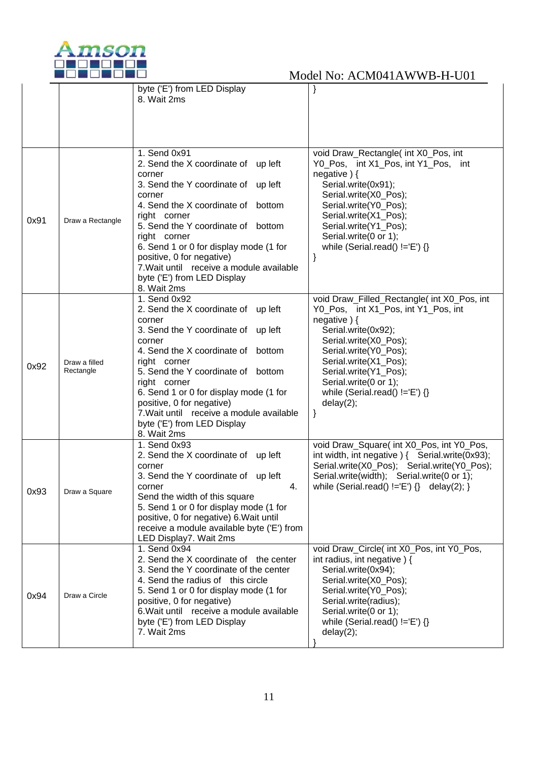

|      |                  | byte ('E') from LED Display                | }                                               |
|------|------------------|--------------------------------------------|-------------------------------------------------|
|      |                  | 8. Wait 2ms                                |                                                 |
|      |                  |                                            |                                                 |
|      |                  |                                            |                                                 |
|      |                  |                                            |                                                 |
|      |                  |                                            |                                                 |
|      |                  |                                            |                                                 |
|      |                  | 1. Send 0x91                               | void Draw_Rectangle( int X0_Pos, int            |
|      |                  | 2. Send the X coordinate of up left        | Y0_Pos, int X1_Pos, int Y1_Pos, int             |
|      |                  | corner                                     | negative $)$ {                                  |
|      |                  | 3. Send the Y coordinate of up left        | Serial.write(0x91);                             |
|      |                  | corner                                     | Serial.write(X0_Pos);                           |
|      |                  | 4. Send the X coordinate of bottom         | Serial.write(Y0_Pos);                           |
|      |                  | right corner                               | Serial.write(X1_Pos);                           |
| 0x91 | Draw a Rectangle | 5. Send the Y coordinate of bottom         | Serial.write(Y1_Pos);                           |
|      |                  |                                            |                                                 |
|      |                  | right corner                               | Serial.write(0 or 1);                           |
|      |                  | 6. Send 1 or 0 for display mode (1 for     | while (Serial.read() $!=$ 'E') {}               |
|      |                  | positive, 0 for negative)                  | }                                               |
|      |                  | 7. Wait until receive a module available   |                                                 |
|      |                  | byte ('E') from LED Display                |                                                 |
|      |                  | 8. Wait 2ms                                |                                                 |
|      |                  | 1. Send 0x92                               | void Draw_Filled_Rectangle( int X0_Pos, int     |
|      |                  | 2. Send the X coordinate of<br>up left     | Y0_Pos, int X1_Pos, int Y1_Pos, int             |
|      |                  | corner                                     | negative $)$ {                                  |
|      |                  | 3. Send the Y coordinate of<br>up left     | Serial.write(0x92);                             |
|      |                  | corner                                     | Serial.write(X0_Pos);                           |
|      |                  | 4. Send the X coordinate of bottom         | Serial.write(Y0_Pos);                           |
|      | Draw a filled    | right corner                               | Serial.write(X1_Pos);                           |
| 0x92 | Rectangle        | 5. Send the Y coordinate of                | Serial.write(Y1_Pos);                           |
|      |                  | bottom                                     |                                                 |
|      |                  | right corner                               | Serial.write(0 or 1);                           |
|      |                  | 6. Send 1 or 0 for display mode (1 for     | while (Serial.read() $!=$ 'E') {}               |
|      |                  | positive, 0 for negative)                  | delay(2);                                       |
|      |                  | 7. Wait until receive a module available   | }                                               |
|      |                  | byte ('E') from LED Display                |                                                 |
|      |                  | 8. Wait 2ms                                |                                                 |
|      |                  | 1. Send 0x93                               | void Draw_Square( int X0_Pos, int Y0_Pos,       |
|      |                  | 2. Send the X coordinate of up left        | int width, int negative ) { Serial.write(0x93); |
|      |                  | corner                                     | Serial.write(X0_Pos); Serial.write(Y0_Pos);     |
|      |                  | 3. Send the Y coordinate of up left        | Serial.write(width); Serial.write(0 or 1);      |
|      |                  | corner<br>4.                               | while (Serial.read() $!=E'$ ) {} delay(2); }    |
| 0x93 | Draw a Square    | Send the width of this square              |                                                 |
|      |                  | 5. Send 1 or 0 for display mode (1 for     |                                                 |
|      |                  | positive, 0 for negative) 6. Wait until    |                                                 |
|      |                  |                                            |                                                 |
|      |                  | receive a module available byte ('E') from |                                                 |
|      |                  | LED Display7. Wait 2ms                     |                                                 |
|      |                  | 1. Send 0x94                               | void Draw_Circle( int X0_Pos, int Y0_Pos,       |
|      |                  | 2. Send the X coordinate of the center     | int radius, int negative $\}$ {                 |
|      |                  | 3. Send the Y coordinate of the center     | Serial.write(0x94);                             |
|      |                  | 4. Send the radius of this circle          | Serial.write(X0_Pos);                           |
| 0x94 | Draw a Circle    | 5. Send 1 or 0 for display mode (1 for     | Serial.write(Y0_Pos);                           |
|      |                  | positive, 0 for negative)                  | Serial.write(radius);                           |
|      |                  | 6. Wait until receive a module available   | Serial.write(0 or 1);                           |
|      |                  | byte ('E') from LED Display                | while (Serial.read() $!=$ 'E') {}               |
|      |                  | 7. Wait 2ms                                | delay(2);                                       |
|      |                  |                                            |                                                 |
|      |                  |                                            |                                                 |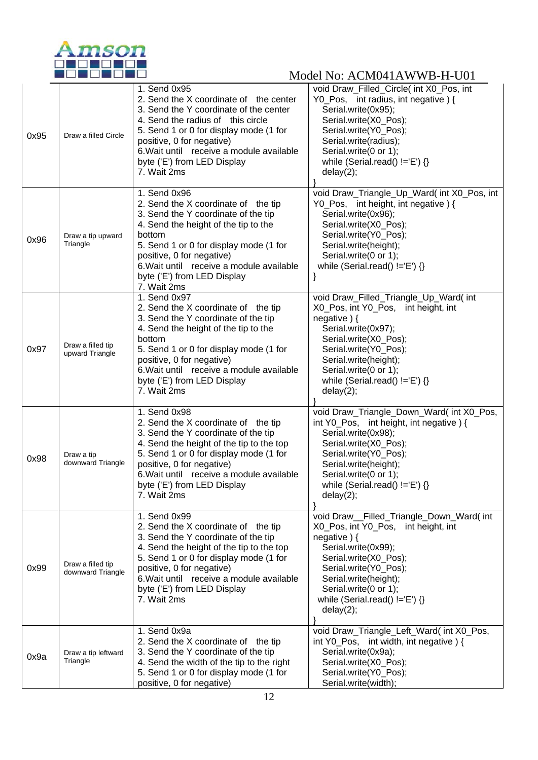

|      |                                        | 1. Send 0x95                                                                                                                                                                                                                                                                                                  | void Draw_Filled_Circle( int X0_Pos, int                                                                                                                                                                                                                                     |
|------|----------------------------------------|---------------------------------------------------------------------------------------------------------------------------------------------------------------------------------------------------------------------------------------------------------------------------------------------------------------|------------------------------------------------------------------------------------------------------------------------------------------------------------------------------------------------------------------------------------------------------------------------------|
| 0x95 | Draw a filled Circle                   | 2. Send the X coordinate of the center<br>3. Send the Y coordinate of the center<br>4. Send the radius of this circle<br>5. Send 1 or 0 for display mode (1 for<br>positive, 0 for negative)<br>6. Wait until receive a module available<br>byte ('E') from LED Display<br>7. Wait 2ms                        | Y0_Pos, int radius, int negative) {<br>Serial.write(0x95);<br>Serial.write(X0_Pos);<br>Serial.write(Y0_Pos);<br>Serial.write(radius);<br>Serial.write(0 or 1);<br>while (Serial.read() $!=E'$ ) {}<br>delay(2);                                                              |
| 0x96 | Draw a tip upward<br>Triangle          | 1. Send 0x96<br>2. Send the X coordinate of the tip<br>3. Send the Y coordinate of the tip<br>4. Send the height of the tip to the<br>bottom<br>5. Send 1 or 0 for display mode (1 for<br>positive, 0 for negative)<br>6. Wait until receive a module available<br>byte ('E') from LED Display<br>7. Wait 2ms | void Draw_Triangle_Up_Ward( int X0_Pos, int<br>Y0_Pos, int height, int negative) {<br>Serial.write(0x96);<br>Serial.write(X0_Pos);<br>Serial.write(Y0_Pos);<br>Serial.write(height);<br>Serial.write(0 or 1);<br>while (Serial.read() $!=E'$ ) {}<br>}                       |
| 0x97 | Draw a filled tip<br>upward Triangle   | 1. Send 0x97<br>2. Send the X coordinate of the tip<br>3. Send the Y coordinate of the tip<br>4. Send the height of the tip to the<br>bottom<br>5. Send 1 or 0 for display mode (1 for<br>positive, 0 for negative)<br>6. Wait until receive a module available<br>byte ('E') from LED Display<br>7. Wait 2ms | void Draw_Filled_Triangle_Up_Ward( int<br>X0_Pos, int Y0_Pos, int height, int<br>negative $)$ {<br>Serial.write(0x97);<br>Serial.write(X0_Pos);<br>Serial.write(Y0_Pos);<br>Serial.write(height);<br>Serial.write(0 or 1);<br>while (Serial.read() $!=$ 'E') {}<br>delay(2); |
| 0x98 | Draw a tip<br>downward Triangle        | 1. Send 0x98<br>2. Send the X coordinate of the tip<br>3. Send the Y coordinate of the tip<br>4. Send the height of the tip to the top<br>5. Send 1 or 0 for display mode (1 for<br>positive, 0 for negative)<br>6. Wait until receive a module available<br>byte ('E') from LED Display<br>7. Wait 2ms       | void Draw_Triangle_Down_Ward(int X0_Pos,<br>int Y0_Pos, int height, int negative) {<br>Serial.write(0x98);<br>Serial.write(X0_Pos);<br>Serial.write(Y0 Pos);<br>Serial.write(height);<br>Serial.write(0 or 1);<br>while (Serial.read() $!=$ 'E') {}<br>delay(2);             |
| 0x99 | Draw a filled tip<br>downward Triangle | $1.$ Send $0x99$<br>2. Send the X coordinate of the tip<br>3. Send the Y coordinate of the tip<br>4. Send the height of the tip to the top<br>5. Send 1 or 0 for display mode (1 for<br>positive, 0 for negative)<br>6. Wait until receive a module available<br>byte ('E') from LED Display<br>7. Wait 2ms   | void Draw_Filled_Triangle_Down_Ward(int<br>X0 Pos, int Y0 Pos, int height, int<br>negative $)$ {<br>Serial.write(0x99);<br>Serial.write(X0_Pos);<br>Serial.write(Y0_Pos);<br>Serial.write(height);<br>Serial.write(0 or 1);<br>while (Serial.read() $!=E'$ ) {}<br>delay(2); |
| 0x9a | Draw a tip leftward<br>Triangle        | 1. Send 0x9a<br>2. Send the X coordinate of the tip<br>3. Send the Y coordinate of the tip<br>4. Send the width of the tip to the right<br>5. Send 1 or 0 for display mode (1 for<br>positive, 0 for negative)                                                                                                | void Draw_Triangle_Left_Ward( int X0_Pos,<br>int Y0_Pos, int width, int negative) {<br>Serial.write(0x9a);<br>Serial.write(X0_Pos);<br>Serial.write(Y0_Pos);<br>Serial.write(width);                                                                                         |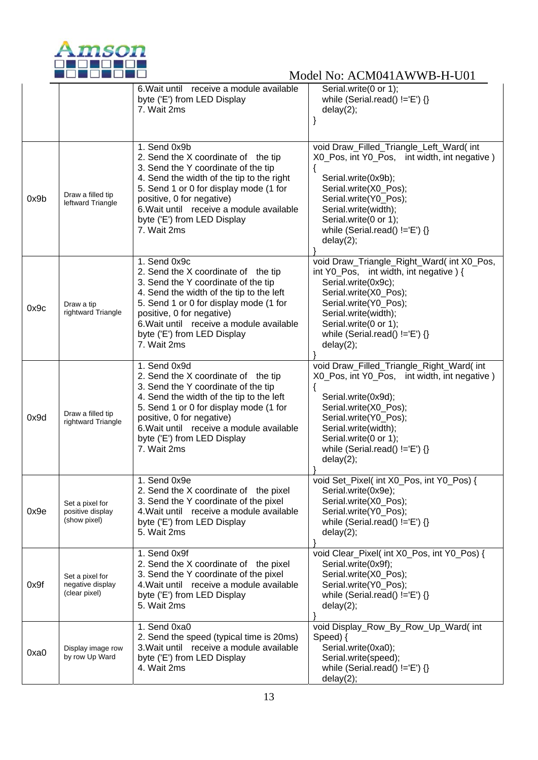

|      |                                                      | 6. Wait until receive a module available<br>byte ('E') from LED Display<br>7. Wait 2ms                                                                                                                                                                                                                   | Serial.write(0 or 1);<br>while (Serial.read() $!=E'$ ) {}<br>delay(2);                                                                                                                                                                                                      |
|------|------------------------------------------------------|----------------------------------------------------------------------------------------------------------------------------------------------------------------------------------------------------------------------------------------------------------------------------------------------------------|-----------------------------------------------------------------------------------------------------------------------------------------------------------------------------------------------------------------------------------------------------------------------------|
| 0x9b | Draw a filled tip<br>leftward Triangle               | 1. Send 0x9b<br>2. Send the X coordinate of the tip<br>3. Send the Y coordinate of the tip<br>4. Send the width of the tip to the right<br>5. Send 1 or 0 for display mode (1 for<br>positive, 0 for negative)<br>6. Wait until receive a module available<br>byte ('E') from LED Display<br>7. Wait 2ms | void Draw_Filled_Triangle_Left_Ward(int<br>X0_Pos, int Y0_Pos, int width, int negative)<br>$\{$<br>Serial.write(0x9b);<br>Serial.write(X0_Pos);<br>Serial.write(Y0_Pos);<br>Serial.write(width);<br>Serial.write(0 or 1);<br>while (Serial.read() $!=$ 'E') {}<br>delay(2); |
| 0x9c | Draw a tip<br>rightward Triangle                     | 1. Send 0x9c<br>2. Send the X coordinate of the tip<br>3. Send the Y coordinate of the tip<br>4. Send the width of the tip to the left<br>5. Send 1 or 0 for display mode (1 for<br>positive, 0 for negative)<br>6. Wait until receive a module available<br>byte ('E') from LED Display<br>7. Wait 2ms  | void Draw_Triangle_Right_Ward(int X0_Pos,<br>int Y0_Pos, int width, int negative) {<br>Serial.write(0x9c);<br>Serial.write(X0_Pos);<br>Serial.write(Y0_Pos);<br>Serial.write(width);<br>Serial.write(0 or 1);<br>while (Serial.read() $!=$ 'E') {}<br>delay(2);             |
| 0x9d | Draw a filled tip<br>rightward Triangle              | 1. Send 0x9d<br>2. Send the X coordinate of the tip<br>3. Send the Y coordinate of the tip<br>4. Send the width of the tip to the left<br>5. Send 1 or 0 for display mode (1 for<br>positive, 0 for negative)<br>6. Wait until receive a module available<br>byte ('E') from LED Display<br>7. Wait 2ms  | void Draw_Filled_Triangle_Right_Ward(int<br>X0_Pos, int Y0_Pos, int width, int negative)<br>{<br>Serial.write(0x9d);<br>Serial.write(X0_Pos);<br>Serial.write(Y0_Pos);<br>Serial.write(width);<br>Serial.write(0 or 1);<br>while (Serial.read() $!=$ 'E') {}<br>delay(2);   |
| 0x9e | Set a pixel for<br>positive display<br>(show pixel)  | 1. Send 0x9e<br>2. Send the X coordinate of the pixel<br>3. Send the Y coordinate of the pixel<br>4. Wait until receive a module available<br>byte ('E') from LED Display<br>5. Wait 2ms                                                                                                                 | void Set_Pixel( int X0_Pos, int Y0_Pos) {<br>Serial.write(0x9e);<br>Serial.write(X0_Pos);<br>Serial.write(Y0_Pos);<br>while (Serial.read() $!=$ 'E') {}<br>delay(2);                                                                                                        |
| 0x9f | Set a pixel for<br>negative display<br>(clear pixel) | 1. Send 0x9f<br>2. Send the X coordinate of the pixel<br>3. Send the Y coordinate of the pixel<br>4. Wait until receive a module available<br>byte ('E') from LED Display<br>5. Wait 2ms                                                                                                                 | void Clear Pixel( int X0 Pos, int Y0 Pos) {<br>Serial.write(0x9f);<br>Serial.write(X0 Pos);<br>Serial.write(Y0_Pos);<br>while (Serial.read() $!=E$ ) {}<br>delay(2);                                                                                                        |
| 0xa0 | Display image row<br>by row Up Ward                  | 1. Send 0xa0<br>2. Send the speed (typical time is 20ms)<br>3. Wait until receive a module available<br>byte ('E') from LED Display<br>4. Wait 2ms                                                                                                                                                       | void Display_Row_By_Row_Up_Ward(int<br>Speed) {<br>Serial.write(0xa0);<br>Serial.write(speed);<br>while (Serial.read() $!=$ 'E') {}<br>delay(2);                                                                                                                            |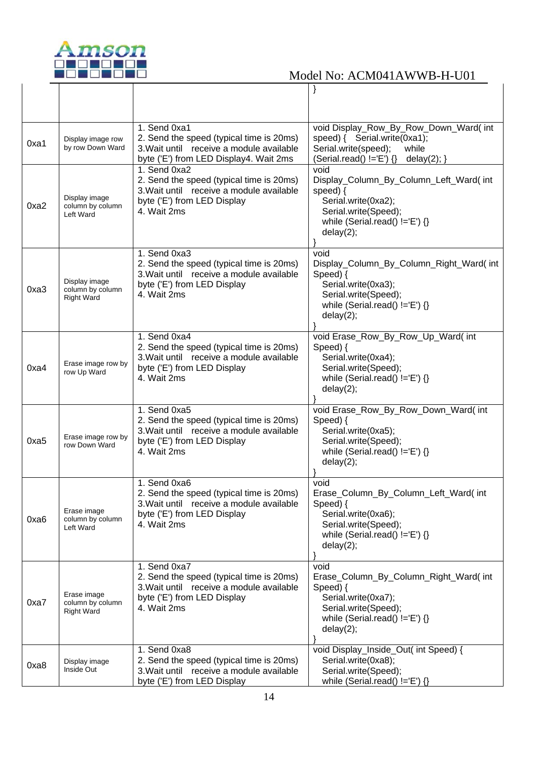

| 0xa1 | Display image row<br>by row Down Ward                  | 1. Send 0xa1<br>2. Send the speed (typical time is 20ms)<br>3. Wait until receive a module available<br>byte ('E') from LED Display4. Wait 2ms     | void Display_Row_By_Row_Down_Ward( int<br>speed) { Serial.write(0xa1);<br>Serial.write(speed);<br>while<br>$(Serial.read() != 'E') \$ delay(2); }            |
|------|--------------------------------------------------------|----------------------------------------------------------------------------------------------------------------------------------------------------|--------------------------------------------------------------------------------------------------------------------------------------------------------------|
| 0xa2 | Display image<br>column by column<br>Left Ward         | 1. Send 0xa2<br>2. Send the speed (typical time is 20ms)<br>3. Wait until receive a module available<br>byte ('E') from LED Display<br>4. Wait 2ms | void<br>Display_Column_By_Column_Left_Ward( int<br>speed) {<br>Serial.write(0xa2);<br>Serial.write(Speed);<br>while (Serial.read() $!=E'$ ) {}<br>delay(2);  |
| 0xa3 | Display image<br>column by column<br><b>Right Ward</b> | 1. Send 0xa3<br>2. Send the speed (typical time is 20ms)<br>3. Wait until receive a module available<br>byte ('E') from LED Display<br>4. Wait 2ms | void<br>Display_Column_By_Column_Right_Ward(int<br>Speed) {<br>Serial.write(0xa3);<br>Serial.write(Speed);<br>while (Serial.read() $!=$ 'E') {}<br>delay(2); |
| 0xa4 | Erase image row by<br>row Up Ward                      | 1. Send 0xa4<br>2. Send the speed (typical time is 20ms)<br>3. Wait until receive a module available<br>byte ('E') from LED Display<br>4. Wait 2ms | void Erase_Row_By_Row_Up_Ward( int<br>Speed) {<br>Serial.write(0xa4);<br>Serial.write(Speed);<br>while (Serial.read() $!=E'$ ) {}<br>delay(2);               |
| 0xa5 | Erase image row by<br>row Down Ward                    | 1. Send 0xa5<br>2. Send the speed (typical time is 20ms)<br>3. Wait until receive a module available<br>byte ('E') from LED Display<br>4. Wait 2ms | void Erase_Row_By_Row_Down_Ward( int<br>Speed) {<br>Serial.write(0xa5);<br>Serial.write(Speed);<br>while (Serial.read() $!=$ 'E') {}<br>delay(2);            |
| 0xa6 | Erase image<br>column by column<br>Left Ward           | 1. Send 0xa6<br>2. Send the speed (typical time is 20ms)<br>3. Wait until receive a module available<br>byte ('E') from LED Display<br>4. Wait 2ms | void<br>Erase_Column_By_Column_Left_Ward(int<br>Speed) {<br>Serial.write(0xa6);<br>Serial.write(Speed);<br>while (Serial.read() $!=E'$ ) {}<br>delay(2);     |
| 0xa7 | Erase image<br>column by column<br><b>Right Ward</b>   | 1. Send 0xa7<br>2. Send the speed (typical time is 20ms)<br>3. Wait until receive a module available<br>byte ('E') from LED Display<br>4. Wait 2ms | void<br>Erase_Column_By_Column_Right_Ward( int<br>Speed) {<br>Serial.write(0xa7);<br>Serial.write(Speed);<br>while (Serial.read() $!=$ 'E') {}<br>delay(2);  |
| 0xa8 | Display image<br>Inside Out                            | 1. Send 0xa8<br>2. Send the speed (typical time is 20ms)<br>3. Wait until receive a module available<br>byte ('E') from LED Display                | void Display_Inside_Out( int Speed) {<br>Serial.write(0xa8);<br>Serial.write(Speed);<br>while (Serial.read() $!=E'$ ) {}                                     |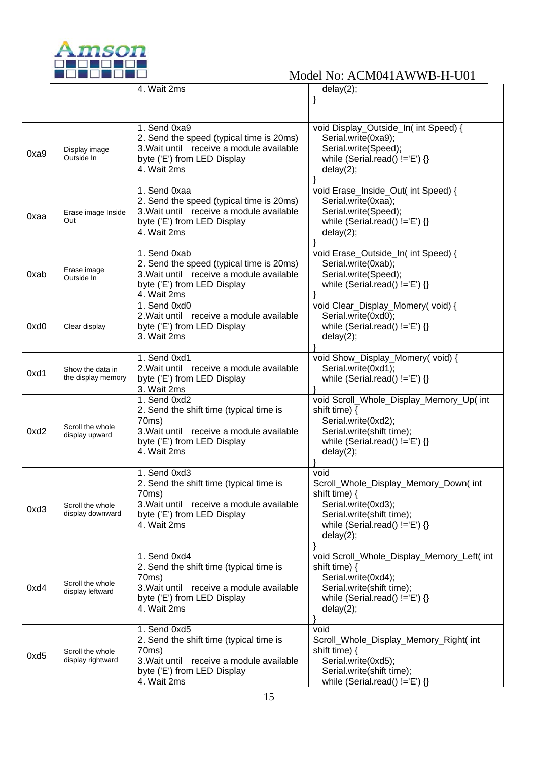

|      |                                        | 4. Wait 2ms                                                                                                                                                |                                                                                                                                                                      |
|------|----------------------------------------|------------------------------------------------------------------------------------------------------------------------------------------------------------|----------------------------------------------------------------------------------------------------------------------------------------------------------------------|
|      |                                        |                                                                                                                                                            | delay(2);<br>}                                                                                                                                                       |
| 0xa9 | Display image<br>Outside In            | 1. Send 0xa9<br>2. Send the speed (typical time is 20ms)<br>3. Wait until receive a module available<br>byte ('E') from LED Display<br>4. Wait 2ms         | void Display_Outside_In( int Speed) {<br>Serial.write(0xa9);<br>Serial.write(Speed);<br>while (Serial.read() $!=E'$ ) {}<br>delay(2);                                |
| 0xaa | Erase image Inside<br>Out              | 1. Send 0xaa<br>2. Send the speed (typical time is 20ms)<br>3. Wait until receive a module available<br>byte ('E') from LED Display<br>4. Wait 2ms         | void Erase_Inside_Out( int Speed) {<br>Serial.write(0xaa);<br>Serial.write(Speed);<br>while (Serial.read() $!=E'$ ) {}<br>delay(2);                                  |
| 0xab | Erase image<br>Outside In              | 1. Send 0xab<br>2. Send the speed (typical time is 20ms)<br>3. Wait until receive a module available<br>byte ('E') from LED Display<br>4. Wait 2ms         | void Erase_Outside_In( int Speed) {<br>Serial.write(0xab);<br>Serial.write(Speed);<br>while (Serial.read() $!=E'$ ) {}                                               |
| 0xd0 | Clear display                          | 1. Send 0xd0<br>2. Wait until receive a module available<br>byte ('E') from LED Display<br>3. Wait 2ms                                                     | void Clear_Display_Momery(void) {<br>Serial.write(0xd0);<br>while (Serial.read() $!=E'$ ) {}<br>delay(2);                                                            |
| 0xd1 | Show the data in<br>the display memory | 1. Send 0xd1<br>2. Wait until receive a module available<br>byte ('E') from LED Display<br>3. Wait 2ms                                                     | void Show_Display_Momery(void) {<br>Serial.write(0xd1);<br>while (Serial.read() $!=E'$ ) {}                                                                          |
| 0xd2 | Scroll the whole<br>display upward     | 1. Send 0xd2<br>2. Send the shift time (typical time is<br>70ms)<br>3. Wait until receive a module available<br>byte ('E') from LED Display<br>4. Wait 2ms | void Scroll_Whole_Display_Memory_Up( int<br>shift time) $\{$<br>Serial.write(0xd2);<br>Serial.write(shift time);<br>while (Serial.read() $!=$ 'E') {}<br>delay(2);   |
| 0xd3 | Scroll the whole<br>display downward   | 1. Send 0xd3<br>2. Send the shift time (typical time is<br>70ms)<br>3. Wait until receive a module available<br>byte ('E') from LED Display<br>4. Wait 2ms | void<br>Scroll_Whole_Display_Memory_Down(int<br>shift time) $\{$<br>Serial.write(0xd3);<br>Serial.write(shift time);<br>while (Serial.read() $!=E$ ) {}<br>delay(2); |
| 0xd4 | Scroll the whole<br>display leftward   | 1. Send 0xd4<br>2. Send the shift time (typical time is<br>70ms)<br>3. Wait until receive a module available<br>byte ('E') from LED Display<br>4. Wait 2ms | void Scroll_Whole_Display_Memory_Left( int<br>shift time) $\{$<br>Serial.write(0xd4);<br>Serial.write(shift time);<br>while (Serial.read() $!=$ 'E') {}<br>delay(2); |
| 0xd5 | Scroll the whole<br>display rightward  | 1. Send 0xd5<br>2. Send the shift time (typical time is<br>70ms)<br>3. Wait until receive a module available<br>byte ('E') from LED Display<br>4. Wait 2ms | void<br>Scroll_Whole_Display_Memory_Right( int<br>shift time) {<br>Serial.write(0xd5);<br>Serial.write(shift time);<br>while (Serial.read() $!=$ 'E') {}             |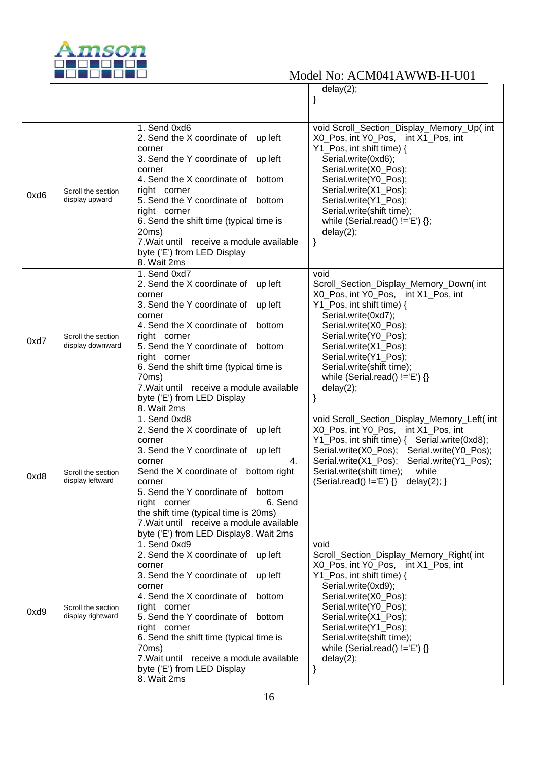

| 1. Send 0xd6<br>void Scroll_Section_Display_Memory_Up( int<br>2. Send the X coordinate of up left<br>X0_Pos, int Y0_Pos, int X1_Pos, int<br>Y1_Pos, int shift time) {<br>corner<br>3. Send the Y coordinate of up left<br>Serial.write(0xd6);<br>Serial.write(X0_Pos);<br>corner<br>4. Send the X coordinate of bottom<br>Serial.write(Y0_Pos);<br>Serial.write(X1_Pos);<br>right corner<br>Scroll the section<br>0xd6<br>display upward<br>5. Send the Y coordinate of<br>Serial.write(Y1_Pos);<br>bottom<br>Serial.write(shift time);<br>right corner<br>while (Serial.read() $!=E'$ ) {};<br>6. Send the shift time (typical time is<br>20ms)<br>delay(2);<br>7. Wait until receive a module available<br>}<br>byte ('E') from LED Display<br>8. Wait 2ms<br>1. Send 0xd7<br>void<br>2. Send the X coordinate of up left<br>Scroll_Section_Display_Memory_Down(int<br>X0 Pos, int Y0 Pos, int X1 Pos, int<br>corner<br>3. Send the Y coordinate of up left<br>Y1_Pos, int shift time) {<br>Serial.write(0xd7);<br>corner<br>4. Send the X coordinate of bottom<br>Serial.write(X0_Pos);<br>Serial.write(Y0_Pos);<br>right corner<br>Scroll the section<br>0xd7<br>display downward<br>5. Send the Y coordinate of bottom<br>Serial.write(X1_Pos);<br>Serial.write(Y1_Pos);<br>right corner<br>Serial.write(shift time);<br>6. Send the shift time (typical time is<br>70ms)<br>while (Serial.read() $!=E$ ) {}<br>7. Wait until receive a module available<br>delay(2);<br>byte ('E') from LED Display<br>8. Wait 2ms<br>1. Send 0xd8<br>void Scroll_Section_Display_Memory_Left( int<br>2. Send the X coordinate of up left<br>X0_Pos, int Y0_Pos, int X1_Pos, int<br>corner<br>Serial.write(X0_Pos); Serial.write(Y0_Pos);<br>3. Send the Y coordinate of up left<br>Serial.write(X1_Pos);<br>Serial.write(Y1_Pos);<br>corner<br>4.<br>Send the X coordinate of bottom right<br>Serial.write(shift time);<br>while<br>Scroll the section<br>0xd8<br>display leftward<br>(Serial.read() !='E') {}<br>delay $(2)$ ; }<br>corner<br>5. Send the Y coordinate of bottom<br>6. Send<br>right corner<br>the shift time (typical time is 20ms)<br>7. Wait until receive a module available<br>byte ('E') from LED Display8. Wait 2ms<br>1. Send 0xd9<br>void<br>2. Send the X coordinate of up left<br>Scroll_Section_Display_Memory_Right( int<br>X0_Pos, int Y0_Pos, int X1_Pos, int<br>corner<br>3. Send the Y coordinate of<br>Y1_Pos, int shift time) {<br>up left<br>Serial.write(0xd9);<br>corner<br>4. Send the X coordinate of<br>Serial.write(X0_Pos);<br>bottom<br>Serial.write(Y0_Pos);<br>right corner<br>Scroll the section<br>0xd9<br>display rightward<br>5. Send the Y coordinate of<br>Serial.write(X1_Pos);<br>bottom<br>Serial.write(Y1_Pos);<br>right corner<br>Serial.write(shift time);<br>6. Send the shift time (typical time is<br>while (Serial.read() $!=$ 'E') {}<br>70ms)<br>7. Wait until receive a module available<br>delay(2);<br>byte ('E') from LED Display<br>} |  |  | delay(2); |
|----------------------------------------------------------------------------------------------------------------------------------------------------------------------------------------------------------------------------------------------------------------------------------------------------------------------------------------------------------------------------------------------------------------------------------------------------------------------------------------------------------------------------------------------------------------------------------------------------------------------------------------------------------------------------------------------------------------------------------------------------------------------------------------------------------------------------------------------------------------------------------------------------------------------------------------------------------------------------------------------------------------------------------------------------------------------------------------------------------------------------------------------------------------------------------------------------------------------------------------------------------------------------------------------------------------------------------------------------------------------------------------------------------------------------------------------------------------------------------------------------------------------------------------------------------------------------------------------------------------------------------------------------------------------------------------------------------------------------------------------------------------------------------------------------------------------------------------------------------------------------------------------------------------------------------------------------------------------------------------------------------------------------------------------------------------------------------------------------------------------------------------------------------------------------------------------------------------------------------------------------------------------------------------------------------------------------------------------------------------------------------------------------------------------------------------------------------------------------------------------------------------------------------------------------------------------------------------------------------------------------------------------------------------------------------------------------------------------------------------------------------------------------------------------------------------------------------------------------------------------------------------------------------------------------------------------------------------------------------------------------|--|--|-----------|
|                                                                                                                                                                                                                                                                                                                                                                                                                                                                                                                                                                                                                                                                                                                                                                                                                                                                                                                                                                                                                                                                                                                                                                                                                                                                                                                                                                                                                                                                                                                                                                                                                                                                                                                                                                                                                                                                                                                                                                                                                                                                                                                                                                                                                                                                                                                                                                                                                                                                                                                                                                                                                                                                                                                                                                                                                                                                                                                                                                                                    |  |  |           |
|                                                                                                                                                                                                                                                                                                                                                                                                                                                                                                                                                                                                                                                                                                                                                                                                                                                                                                                                                                                                                                                                                                                                                                                                                                                                                                                                                                                                                                                                                                                                                                                                                                                                                                                                                                                                                                                                                                                                                                                                                                                                                                                                                                                                                                                                                                                                                                                                                                                                                                                                                                                                                                                                                                                                                                                                                                                                                                                                                                                                    |  |  |           |
|                                                                                                                                                                                                                                                                                                                                                                                                                                                                                                                                                                                                                                                                                                                                                                                                                                                                                                                                                                                                                                                                                                                                                                                                                                                                                                                                                                                                                                                                                                                                                                                                                                                                                                                                                                                                                                                                                                                                                                                                                                                                                                                                                                                                                                                                                                                                                                                                                                                                                                                                                                                                                                                                                                                                                                                                                                                                                                                                                                                                    |  |  |           |
|                                                                                                                                                                                                                                                                                                                                                                                                                                                                                                                                                                                                                                                                                                                                                                                                                                                                                                                                                                                                                                                                                                                                                                                                                                                                                                                                                                                                                                                                                                                                                                                                                                                                                                                                                                                                                                                                                                                                                                                                                                                                                                                                                                                                                                                                                                                                                                                                                                                                                                                                                                                                                                                                                                                                                                                                                                                                                                                                                                                                    |  |  |           |
|                                                                                                                                                                                                                                                                                                                                                                                                                                                                                                                                                                                                                                                                                                                                                                                                                                                                                                                                                                                                                                                                                                                                                                                                                                                                                                                                                                                                                                                                                                                                                                                                                                                                                                                                                                                                                                                                                                                                                                                                                                                                                                                                                                                                                                                                                                                                                                                                                                                                                                                                                                                                                                                                                                                                                                                                                                                                                                                                                                                                    |  |  |           |
|                                                                                                                                                                                                                                                                                                                                                                                                                                                                                                                                                                                                                                                                                                                                                                                                                                                                                                                                                                                                                                                                                                                                                                                                                                                                                                                                                                                                                                                                                                                                                                                                                                                                                                                                                                                                                                                                                                                                                                                                                                                                                                                                                                                                                                                                                                                                                                                                                                                                                                                                                                                                                                                                                                                                                                                                                                                                                                                                                                                                    |  |  |           |
|                                                                                                                                                                                                                                                                                                                                                                                                                                                                                                                                                                                                                                                                                                                                                                                                                                                                                                                                                                                                                                                                                                                                                                                                                                                                                                                                                                                                                                                                                                                                                                                                                                                                                                                                                                                                                                                                                                                                                                                                                                                                                                                                                                                                                                                                                                                                                                                                                                                                                                                                                                                                                                                                                                                                                                                                                                                                                                                                                                                                    |  |  |           |
|                                                                                                                                                                                                                                                                                                                                                                                                                                                                                                                                                                                                                                                                                                                                                                                                                                                                                                                                                                                                                                                                                                                                                                                                                                                                                                                                                                                                                                                                                                                                                                                                                                                                                                                                                                                                                                                                                                                                                                                                                                                                                                                                                                                                                                                                                                                                                                                                                                                                                                                                                                                                                                                                                                                                                                                                                                                                                                                                                                                                    |  |  |           |
|                                                                                                                                                                                                                                                                                                                                                                                                                                                                                                                                                                                                                                                                                                                                                                                                                                                                                                                                                                                                                                                                                                                                                                                                                                                                                                                                                                                                                                                                                                                                                                                                                                                                                                                                                                                                                                                                                                                                                                                                                                                                                                                                                                                                                                                                                                                                                                                                                                                                                                                                                                                                                                                                                                                                                                                                                                                                                                                                                                                                    |  |  |           |
|                                                                                                                                                                                                                                                                                                                                                                                                                                                                                                                                                                                                                                                                                                                                                                                                                                                                                                                                                                                                                                                                                                                                                                                                                                                                                                                                                                                                                                                                                                                                                                                                                                                                                                                                                                                                                                                                                                                                                                                                                                                                                                                                                                                                                                                                                                                                                                                                                                                                                                                                                                                                                                                                                                                                                                                                                                                                                                                                                                                                    |  |  |           |
|                                                                                                                                                                                                                                                                                                                                                                                                                                                                                                                                                                                                                                                                                                                                                                                                                                                                                                                                                                                                                                                                                                                                                                                                                                                                                                                                                                                                                                                                                                                                                                                                                                                                                                                                                                                                                                                                                                                                                                                                                                                                                                                                                                                                                                                                                                                                                                                                                                                                                                                                                                                                                                                                                                                                                                                                                                                                                                                                                                                                    |  |  |           |
|                                                                                                                                                                                                                                                                                                                                                                                                                                                                                                                                                                                                                                                                                                                                                                                                                                                                                                                                                                                                                                                                                                                                                                                                                                                                                                                                                                                                                                                                                                                                                                                                                                                                                                                                                                                                                                                                                                                                                                                                                                                                                                                                                                                                                                                                                                                                                                                                                                                                                                                                                                                                                                                                                                                                                                                                                                                                                                                                                                                                    |  |  |           |
|                                                                                                                                                                                                                                                                                                                                                                                                                                                                                                                                                                                                                                                                                                                                                                                                                                                                                                                                                                                                                                                                                                                                                                                                                                                                                                                                                                                                                                                                                                                                                                                                                                                                                                                                                                                                                                                                                                                                                                                                                                                                                                                                                                                                                                                                                                                                                                                                                                                                                                                                                                                                                                                                                                                                                                                                                                                                                                                                                                                                    |  |  |           |
|                                                                                                                                                                                                                                                                                                                                                                                                                                                                                                                                                                                                                                                                                                                                                                                                                                                                                                                                                                                                                                                                                                                                                                                                                                                                                                                                                                                                                                                                                                                                                                                                                                                                                                                                                                                                                                                                                                                                                                                                                                                                                                                                                                                                                                                                                                                                                                                                                                                                                                                                                                                                                                                                                                                                                                                                                                                                                                                                                                                                    |  |  |           |
|                                                                                                                                                                                                                                                                                                                                                                                                                                                                                                                                                                                                                                                                                                                                                                                                                                                                                                                                                                                                                                                                                                                                                                                                                                                                                                                                                                                                                                                                                                                                                                                                                                                                                                                                                                                                                                                                                                                                                                                                                                                                                                                                                                                                                                                                                                                                                                                                                                                                                                                                                                                                                                                                                                                                                                                                                                                                                                                                                                                                    |  |  |           |
|                                                                                                                                                                                                                                                                                                                                                                                                                                                                                                                                                                                                                                                                                                                                                                                                                                                                                                                                                                                                                                                                                                                                                                                                                                                                                                                                                                                                                                                                                                                                                                                                                                                                                                                                                                                                                                                                                                                                                                                                                                                                                                                                                                                                                                                                                                                                                                                                                                                                                                                                                                                                                                                                                                                                                                                                                                                                                                                                                                                                    |  |  |           |
|                                                                                                                                                                                                                                                                                                                                                                                                                                                                                                                                                                                                                                                                                                                                                                                                                                                                                                                                                                                                                                                                                                                                                                                                                                                                                                                                                                                                                                                                                                                                                                                                                                                                                                                                                                                                                                                                                                                                                                                                                                                                                                                                                                                                                                                                                                                                                                                                                                                                                                                                                                                                                                                                                                                                                                                                                                                                                                                                                                                                    |  |  |           |
|                                                                                                                                                                                                                                                                                                                                                                                                                                                                                                                                                                                                                                                                                                                                                                                                                                                                                                                                                                                                                                                                                                                                                                                                                                                                                                                                                                                                                                                                                                                                                                                                                                                                                                                                                                                                                                                                                                                                                                                                                                                                                                                                                                                                                                                                                                                                                                                                                                                                                                                                                                                                                                                                                                                                                                                                                                                                                                                                                                                                    |  |  |           |
|                                                                                                                                                                                                                                                                                                                                                                                                                                                                                                                                                                                                                                                                                                                                                                                                                                                                                                                                                                                                                                                                                                                                                                                                                                                                                                                                                                                                                                                                                                                                                                                                                                                                                                                                                                                                                                                                                                                                                                                                                                                                                                                                                                                                                                                                                                                                                                                                                                                                                                                                                                                                                                                                                                                                                                                                                                                                                                                                                                                                    |  |  |           |
|                                                                                                                                                                                                                                                                                                                                                                                                                                                                                                                                                                                                                                                                                                                                                                                                                                                                                                                                                                                                                                                                                                                                                                                                                                                                                                                                                                                                                                                                                                                                                                                                                                                                                                                                                                                                                                                                                                                                                                                                                                                                                                                                                                                                                                                                                                                                                                                                                                                                                                                                                                                                                                                                                                                                                                                                                                                                                                                                                                                                    |  |  |           |
|                                                                                                                                                                                                                                                                                                                                                                                                                                                                                                                                                                                                                                                                                                                                                                                                                                                                                                                                                                                                                                                                                                                                                                                                                                                                                                                                                                                                                                                                                                                                                                                                                                                                                                                                                                                                                                                                                                                                                                                                                                                                                                                                                                                                                                                                                                                                                                                                                                                                                                                                                                                                                                                                                                                                                                                                                                                                                                                                                                                                    |  |  |           |
|                                                                                                                                                                                                                                                                                                                                                                                                                                                                                                                                                                                                                                                                                                                                                                                                                                                                                                                                                                                                                                                                                                                                                                                                                                                                                                                                                                                                                                                                                                                                                                                                                                                                                                                                                                                                                                                                                                                                                                                                                                                                                                                                                                                                                                                                                                                                                                                                                                                                                                                                                                                                                                                                                                                                                                                                                                                                                                                                                                                                    |  |  |           |
|                                                                                                                                                                                                                                                                                                                                                                                                                                                                                                                                                                                                                                                                                                                                                                                                                                                                                                                                                                                                                                                                                                                                                                                                                                                                                                                                                                                                                                                                                                                                                                                                                                                                                                                                                                                                                                                                                                                                                                                                                                                                                                                                                                                                                                                                                                                                                                                                                                                                                                                                                                                                                                                                                                                                                                                                                                                                                                                                                                                                    |  |  |           |
|                                                                                                                                                                                                                                                                                                                                                                                                                                                                                                                                                                                                                                                                                                                                                                                                                                                                                                                                                                                                                                                                                                                                                                                                                                                                                                                                                                                                                                                                                                                                                                                                                                                                                                                                                                                                                                                                                                                                                                                                                                                                                                                                                                                                                                                                                                                                                                                                                                                                                                                                                                                                                                                                                                                                                                                                                                                                                                                                                                                                    |  |  |           |
|                                                                                                                                                                                                                                                                                                                                                                                                                                                                                                                                                                                                                                                                                                                                                                                                                                                                                                                                                                                                                                                                                                                                                                                                                                                                                                                                                                                                                                                                                                                                                                                                                                                                                                                                                                                                                                                                                                                                                                                                                                                                                                                                                                                                                                                                                                                                                                                                                                                                                                                                                                                                                                                                                                                                                                                                                                                                                                                                                                                                    |  |  |           |
|                                                                                                                                                                                                                                                                                                                                                                                                                                                                                                                                                                                                                                                                                                                                                                                                                                                                                                                                                                                                                                                                                                                                                                                                                                                                                                                                                                                                                                                                                                                                                                                                                                                                                                                                                                                                                                                                                                                                                                                                                                                                                                                                                                                                                                                                                                                                                                                                                                                                                                                                                                                                                                                                                                                                                                                                                                                                                                                                                                                                    |  |  |           |
|                                                                                                                                                                                                                                                                                                                                                                                                                                                                                                                                                                                                                                                                                                                                                                                                                                                                                                                                                                                                                                                                                                                                                                                                                                                                                                                                                                                                                                                                                                                                                                                                                                                                                                                                                                                                                                                                                                                                                                                                                                                                                                                                                                                                                                                                                                                                                                                                                                                                                                                                                                                                                                                                                                                                                                                                                                                                                                                                                                                                    |  |  |           |
|                                                                                                                                                                                                                                                                                                                                                                                                                                                                                                                                                                                                                                                                                                                                                                                                                                                                                                                                                                                                                                                                                                                                                                                                                                                                                                                                                                                                                                                                                                                                                                                                                                                                                                                                                                                                                                                                                                                                                                                                                                                                                                                                                                                                                                                                                                                                                                                                                                                                                                                                                                                                                                                                                                                                                                                                                                                                                                                                                                                                    |  |  |           |
|                                                                                                                                                                                                                                                                                                                                                                                                                                                                                                                                                                                                                                                                                                                                                                                                                                                                                                                                                                                                                                                                                                                                                                                                                                                                                                                                                                                                                                                                                                                                                                                                                                                                                                                                                                                                                                                                                                                                                                                                                                                                                                                                                                                                                                                                                                                                                                                                                                                                                                                                                                                                                                                                                                                                                                                                                                                                                                                                                                                                    |  |  |           |
|                                                                                                                                                                                                                                                                                                                                                                                                                                                                                                                                                                                                                                                                                                                                                                                                                                                                                                                                                                                                                                                                                                                                                                                                                                                                                                                                                                                                                                                                                                                                                                                                                                                                                                                                                                                                                                                                                                                                                                                                                                                                                                                                                                                                                                                                                                                                                                                                                                                                                                                                                                                                                                                                                                                                                                                                                                                                                                                                                                                                    |  |  |           |
|                                                                                                                                                                                                                                                                                                                                                                                                                                                                                                                                                                                                                                                                                                                                                                                                                                                                                                                                                                                                                                                                                                                                                                                                                                                                                                                                                                                                                                                                                                                                                                                                                                                                                                                                                                                                                                                                                                                                                                                                                                                                                                                                                                                                                                                                                                                                                                                                                                                                                                                                                                                                                                                                                                                                                                                                                                                                                                                                                                                                    |  |  |           |
|                                                                                                                                                                                                                                                                                                                                                                                                                                                                                                                                                                                                                                                                                                                                                                                                                                                                                                                                                                                                                                                                                                                                                                                                                                                                                                                                                                                                                                                                                                                                                                                                                                                                                                                                                                                                                                                                                                                                                                                                                                                                                                                                                                                                                                                                                                                                                                                                                                                                                                                                                                                                                                                                                                                                                                                                                                                                                                                                                                                                    |  |  |           |
|                                                                                                                                                                                                                                                                                                                                                                                                                                                                                                                                                                                                                                                                                                                                                                                                                                                                                                                                                                                                                                                                                                                                                                                                                                                                                                                                                                                                                                                                                                                                                                                                                                                                                                                                                                                                                                                                                                                                                                                                                                                                                                                                                                                                                                                                                                                                                                                                                                                                                                                                                                                                                                                                                                                                                                                                                                                                                                                                                                                                    |  |  |           |
|                                                                                                                                                                                                                                                                                                                                                                                                                                                                                                                                                                                                                                                                                                                                                                                                                                                                                                                                                                                                                                                                                                                                                                                                                                                                                                                                                                                                                                                                                                                                                                                                                                                                                                                                                                                                                                                                                                                                                                                                                                                                                                                                                                                                                                                                                                                                                                                                                                                                                                                                                                                                                                                                                                                                                                                                                                                                                                                                                                                                    |  |  |           |
|                                                                                                                                                                                                                                                                                                                                                                                                                                                                                                                                                                                                                                                                                                                                                                                                                                                                                                                                                                                                                                                                                                                                                                                                                                                                                                                                                                                                                                                                                                                                                                                                                                                                                                                                                                                                                                                                                                                                                                                                                                                                                                                                                                                                                                                                                                                                                                                                                                                                                                                                                                                                                                                                                                                                                                                                                                                                                                                                                                                                    |  |  |           |
|                                                                                                                                                                                                                                                                                                                                                                                                                                                                                                                                                                                                                                                                                                                                                                                                                                                                                                                                                                                                                                                                                                                                                                                                                                                                                                                                                                                                                                                                                                                                                                                                                                                                                                                                                                                                                                                                                                                                                                                                                                                                                                                                                                                                                                                                                                                                                                                                                                                                                                                                                                                                                                                                                                                                                                                                                                                                                                                                                                                                    |  |  |           |
|                                                                                                                                                                                                                                                                                                                                                                                                                                                                                                                                                                                                                                                                                                                                                                                                                                                                                                                                                                                                                                                                                                                                                                                                                                                                                                                                                                                                                                                                                                                                                                                                                                                                                                                                                                                                                                                                                                                                                                                                                                                                                                                                                                                                                                                                                                                                                                                                                                                                                                                                                                                                                                                                                                                                                                                                                                                                                                                                                                                                    |  |  |           |
|                                                                                                                                                                                                                                                                                                                                                                                                                                                                                                                                                                                                                                                                                                                                                                                                                                                                                                                                                                                                                                                                                                                                                                                                                                                                                                                                                                                                                                                                                                                                                                                                                                                                                                                                                                                                                                                                                                                                                                                                                                                                                                                                                                                                                                                                                                                                                                                                                                                                                                                                                                                                                                                                                                                                                                                                                                                                                                                                                                                                    |  |  |           |
|                                                                                                                                                                                                                                                                                                                                                                                                                                                                                                                                                                                                                                                                                                                                                                                                                                                                                                                                                                                                                                                                                                                                                                                                                                                                                                                                                                                                                                                                                                                                                                                                                                                                                                                                                                                                                                                                                                                                                                                                                                                                                                                                                                                                                                                                                                                                                                                                                                                                                                                                                                                                                                                                                                                                                                                                                                                                                                                                                                                                    |  |  |           |
|                                                                                                                                                                                                                                                                                                                                                                                                                                                                                                                                                                                                                                                                                                                                                                                                                                                                                                                                                                                                                                                                                                                                                                                                                                                                                                                                                                                                                                                                                                                                                                                                                                                                                                                                                                                                                                                                                                                                                                                                                                                                                                                                                                                                                                                                                                                                                                                                                                                                                                                                                                                                                                                                                                                                                                                                                                                                                                                                                                                                    |  |  |           |
|                                                                                                                                                                                                                                                                                                                                                                                                                                                                                                                                                                                                                                                                                                                                                                                                                                                                                                                                                                                                                                                                                                                                                                                                                                                                                                                                                                                                                                                                                                                                                                                                                                                                                                                                                                                                                                                                                                                                                                                                                                                                                                                                                                                                                                                                                                                                                                                                                                                                                                                                                                                                                                                                                                                                                                                                                                                                                                                                                                                                    |  |  |           |
|                                                                                                                                                                                                                                                                                                                                                                                                                                                                                                                                                                                                                                                                                                                                                                                                                                                                                                                                                                                                                                                                                                                                                                                                                                                                                                                                                                                                                                                                                                                                                                                                                                                                                                                                                                                                                                                                                                                                                                                                                                                                                                                                                                                                                                                                                                                                                                                                                                                                                                                                                                                                                                                                                                                                                                                                                                                                                                                                                                                                    |  |  |           |
|                                                                                                                                                                                                                                                                                                                                                                                                                                                                                                                                                                                                                                                                                                                                                                                                                                                                                                                                                                                                                                                                                                                                                                                                                                                                                                                                                                                                                                                                                                                                                                                                                                                                                                                                                                                                                                                                                                                                                                                                                                                                                                                                                                                                                                                                                                                                                                                                                                                                                                                                                                                                                                                                                                                                                                                                                                                                                                                                                                                                    |  |  |           |
|                                                                                                                                                                                                                                                                                                                                                                                                                                                                                                                                                                                                                                                                                                                                                                                                                                                                                                                                                                                                                                                                                                                                                                                                                                                                                                                                                                                                                                                                                                                                                                                                                                                                                                                                                                                                                                                                                                                                                                                                                                                                                                                                                                                                                                                                                                                                                                                                                                                                                                                                                                                                                                                                                                                                                                                                                                                                                                                                                                                                    |  |  |           |
|                                                                                                                                                                                                                                                                                                                                                                                                                                                                                                                                                                                                                                                                                                                                                                                                                                                                                                                                                                                                                                                                                                                                                                                                                                                                                                                                                                                                                                                                                                                                                                                                                                                                                                                                                                                                                                                                                                                                                                                                                                                                                                                                                                                                                                                                                                                                                                                                                                                                                                                                                                                                                                                                                                                                                                                                                                                                                                                                                                                                    |  |  |           |
|                                                                                                                                                                                                                                                                                                                                                                                                                                                                                                                                                                                                                                                                                                                                                                                                                                                                                                                                                                                                                                                                                                                                                                                                                                                                                                                                                                                                                                                                                                                                                                                                                                                                                                                                                                                                                                                                                                                                                                                                                                                                                                                                                                                                                                                                                                                                                                                                                                                                                                                                                                                                                                                                                                                                                                                                                                                                                                                                                                                                    |  |  |           |
|                                                                                                                                                                                                                                                                                                                                                                                                                                                                                                                                                                                                                                                                                                                                                                                                                                                                                                                                                                                                                                                                                                                                                                                                                                                                                                                                                                                                                                                                                                                                                                                                                                                                                                                                                                                                                                                                                                                                                                                                                                                                                                                                                                                                                                                                                                                                                                                                                                                                                                                                                                                                                                                                                                                                                                                                                                                                                                                                                                                                    |  |  |           |
|                                                                                                                                                                                                                                                                                                                                                                                                                                                                                                                                                                                                                                                                                                                                                                                                                                                                                                                                                                                                                                                                                                                                                                                                                                                                                                                                                                                                                                                                                                                                                                                                                                                                                                                                                                                                                                                                                                                                                                                                                                                                                                                                                                                                                                                                                                                                                                                                                                                                                                                                                                                                                                                                                                                                                                                                                                                                                                                                                                                                    |  |  |           |
|                                                                                                                                                                                                                                                                                                                                                                                                                                                                                                                                                                                                                                                                                                                                                                                                                                                                                                                                                                                                                                                                                                                                                                                                                                                                                                                                                                                                                                                                                                                                                                                                                                                                                                                                                                                                                                                                                                                                                                                                                                                                                                                                                                                                                                                                                                                                                                                                                                                                                                                                                                                                                                                                                                                                                                                                                                                                                                                                                                                                    |  |  |           |
|                                                                                                                                                                                                                                                                                                                                                                                                                                                                                                                                                                                                                                                                                                                                                                                                                                                                                                                                                                                                                                                                                                                                                                                                                                                                                                                                                                                                                                                                                                                                                                                                                                                                                                                                                                                                                                                                                                                                                                                                                                                                                                                                                                                                                                                                                                                                                                                                                                                                                                                                                                                                                                                                                                                                                                                                                                                                                                                                                                                                    |  |  |           |
|                                                                                                                                                                                                                                                                                                                                                                                                                                                                                                                                                                                                                                                                                                                                                                                                                                                                                                                                                                                                                                                                                                                                                                                                                                                                                                                                                                                                                                                                                                                                                                                                                                                                                                                                                                                                                                                                                                                                                                                                                                                                                                                                                                                                                                                                                                                                                                                                                                                                                                                                                                                                                                                                                                                                                                                                                                                                                                                                                                                                    |  |  |           |
|                                                                                                                                                                                                                                                                                                                                                                                                                                                                                                                                                                                                                                                                                                                                                                                                                                                                                                                                                                                                                                                                                                                                                                                                                                                                                                                                                                                                                                                                                                                                                                                                                                                                                                                                                                                                                                                                                                                                                                                                                                                                                                                                                                                                                                                                                                                                                                                                                                                                                                                                                                                                                                                                                                                                                                                                                                                                                                                                                                                                    |  |  |           |
|                                                                                                                                                                                                                                                                                                                                                                                                                                                                                                                                                                                                                                                                                                                                                                                                                                                                                                                                                                                                                                                                                                                                                                                                                                                                                                                                                                                                                                                                                                                                                                                                                                                                                                                                                                                                                                                                                                                                                                                                                                                                                                                                                                                                                                                                                                                                                                                                                                                                                                                                                                                                                                                                                                                                                                                                                                                                                                                                                                                                    |  |  |           |
|                                                                                                                                                                                                                                                                                                                                                                                                                                                                                                                                                                                                                                                                                                                                                                                                                                                                                                                                                                                                                                                                                                                                                                                                                                                                                                                                                                                                                                                                                                                                                                                                                                                                                                                                                                                                                                                                                                                                                                                                                                                                                                                                                                                                                                                                                                                                                                                                                                                                                                                                                                                                                                                                                                                                                                                                                                                                                                                                                                                                    |  |  |           |
|                                                                                                                                                                                                                                                                                                                                                                                                                                                                                                                                                                                                                                                                                                                                                                                                                                                                                                                                                                                                                                                                                                                                                                                                                                                                                                                                                                                                                                                                                                                                                                                                                                                                                                                                                                                                                                                                                                                                                                                                                                                                                                                                                                                                                                                                                                                                                                                                                                                                                                                                                                                                                                                                                                                                                                                                                                                                                                                                                                                                    |  |  |           |
|                                                                                                                                                                                                                                                                                                                                                                                                                                                                                                                                                                                                                                                                                                                                                                                                                                                                                                                                                                                                                                                                                                                                                                                                                                                                                                                                                                                                                                                                                                                                                                                                                                                                                                                                                                                                                                                                                                                                                                                                                                                                                                                                                                                                                                                                                                                                                                                                                                                                                                                                                                                                                                                                                                                                                                                                                                                                                                                                                                                                    |  |  |           |
|                                                                                                                                                                                                                                                                                                                                                                                                                                                                                                                                                                                                                                                                                                                                                                                                                                                                                                                                                                                                                                                                                                                                                                                                                                                                                                                                                                                                                                                                                                                                                                                                                                                                                                                                                                                                                                                                                                                                                                                                                                                                                                                                                                                                                                                                                                                                                                                                                                                                                                                                                                                                                                                                                                                                                                                                                                                                                                                                                                                                    |  |  |           |
| 8. Wait 2ms                                                                                                                                                                                                                                                                                                                                                                                                                                                                                                                                                                                                                                                                                                                                                                                                                                                                                                                                                                                                                                                                                                                                                                                                                                                                                                                                                                                                                                                                                                                                                                                                                                                                                                                                                                                                                                                                                                                                                                                                                                                                                                                                                                                                                                                                                                                                                                                                                                                                                                                                                                                                                                                                                                                                                                                                                                                                                                                                                                                        |  |  |           |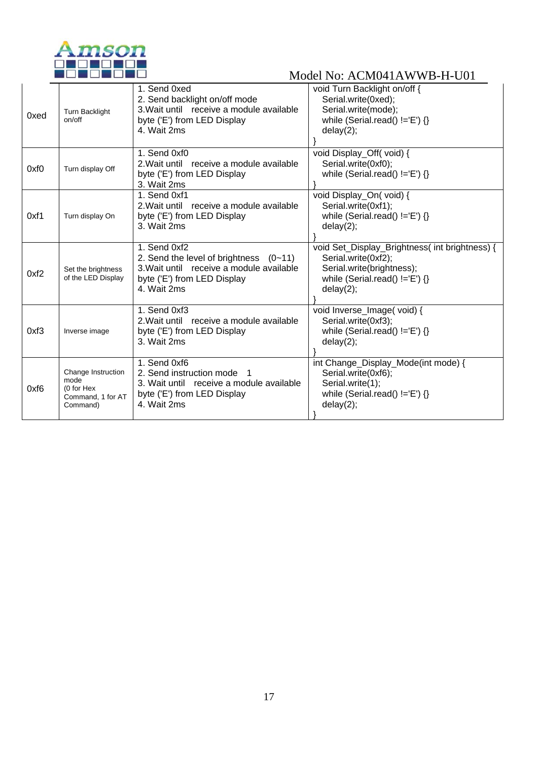

| 0xed | Turn Backlight<br>on/off                                                  | 1. Send 0xed<br>2. Send backlight on/off mode<br>3. Wait until receive a module available<br>byte ('E') from LED Display<br>4. Wait 2ms            | void Turn Backlight on/off {<br>Serial.write(0xed);<br>Serial.write(mode);<br>while (Serial.read() $!=$ 'E') {}<br>delay(2);                        |
|------|---------------------------------------------------------------------------|----------------------------------------------------------------------------------------------------------------------------------------------------|-----------------------------------------------------------------------------------------------------------------------------------------------------|
| 0xf0 | Turn display Off                                                          | 1. Send 0xf0<br>2. Wait until receive a module available<br>byte ('E') from LED Display<br>3. Wait 2ms                                             | void Display_Off(void) {<br>Serial.write(0xf0);<br>while (Serial.read() $!=$ 'E') {}                                                                |
| 0xf1 | Turn display On                                                           | 1. Send 0xf1<br>2. Wait until receive a module available<br>byte ('E') from LED Display<br>3. Wait 2ms                                             | void Display_On(void) {<br>Serial.write(0xf1);<br>while (Serial.read() $!=E'$ ) {}<br>delay(2);                                                     |
| 0xf2 | Set the brightness<br>of the LED Display                                  | 1. Send 0xf2<br>2. Send the level of brightness $(0-11)$<br>3. Wait until receive a module available<br>byte ('E') from LED Display<br>4. Wait 2ms | void Set_Display_Brightness(int brightness) {<br>Serial.write(0xf2);<br>Serial.write(brightness);<br>while (Serial.read() $!=$ 'E') {}<br>delay(2); |
| 0xf3 | Inverse image                                                             | 1. Send 0xf3<br>2. Wait until receive a module available<br>byte ('E') from LED Display<br>3. Wait 2ms                                             | void Inverse_Image(void) {<br>Serial.write(0xf3);<br>while (Serial.read() $!=$ 'E') {}<br>delay(2);                                                 |
| 0xf6 | Change Instruction<br>mode<br>(0 for Hex<br>Command, 1 for AT<br>Command) | 1. Send 0xf6<br>2. Send instruction mode<br>3. Wait until receive a module available<br>byte ('E') from LED Display<br>4. Wait 2ms                 | int Change_Display_Mode(int mode) {<br>Serial.write(0xf6);<br>Serial.write(1);<br>while (Serial.read() $!=$ 'E') {}<br>delay(2);                    |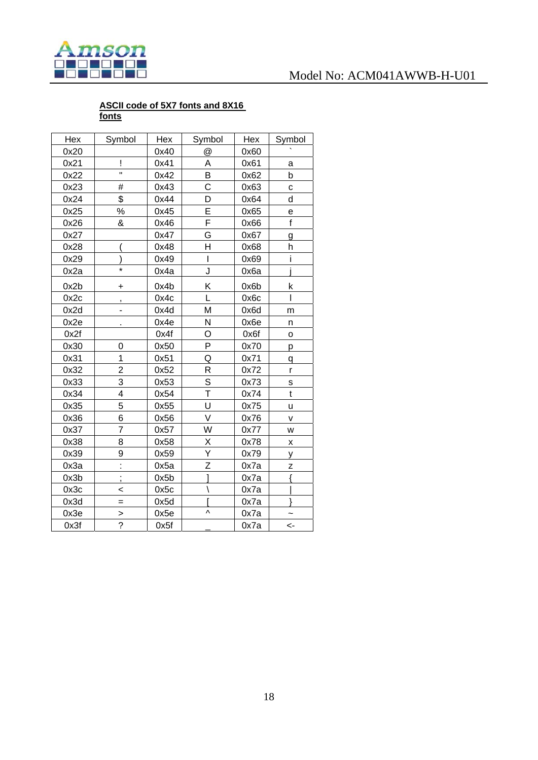

#### **ASCII code of 5X7 fonts and 8X16 fonts**

| Hex<br>Symbol<br>Hex<br>Symbol<br>Hex<br>0x20<br>0x40<br>@<br>0x60<br>A<br>Ţ<br>0x41<br>0x61<br>0x21<br>Ħ<br>B<br>0x42<br>0x62<br>0x22<br>C<br>0x23<br>0x43<br>0x63<br>#<br>\$<br>0x44<br>0x24<br>D<br>0x64<br>Ė<br>$\%$<br>0x25<br>0x45<br>0x65<br>F<br>0x26<br>&<br>0x46<br>0x66<br>G<br>0x47<br>0x67<br>0x27 | Symbol<br>a<br>b<br>$\mathbf{C}$<br>d<br>e<br>$\mathsf{f}$ |
|-----------------------------------------------------------------------------------------------------------------------------------------------------------------------------------------------------------------------------------------------------------------------------------------------------------------|------------------------------------------------------------|
|                                                                                                                                                                                                                                                                                                                 |                                                            |
|                                                                                                                                                                                                                                                                                                                 |                                                            |
|                                                                                                                                                                                                                                                                                                                 |                                                            |
|                                                                                                                                                                                                                                                                                                                 |                                                            |
|                                                                                                                                                                                                                                                                                                                 |                                                            |
|                                                                                                                                                                                                                                                                                                                 |                                                            |
|                                                                                                                                                                                                                                                                                                                 |                                                            |
|                                                                                                                                                                                                                                                                                                                 |                                                            |
|                                                                                                                                                                                                                                                                                                                 | g                                                          |
| H<br>0x48<br>0x68<br>0x28                                                                                                                                                                                                                                                                                       | h                                                          |
| $\mathsf{I}$<br>0x29<br>0x49<br>0x69                                                                                                                                                                                                                                                                            | i                                                          |
| $\star$<br>J<br>0x6a<br>0x2a<br>0x4a                                                                                                                                                                                                                                                                            |                                                            |
| Κ<br>0x2b<br>0x4b<br>0x6b<br>+                                                                                                                                                                                                                                                                                  | k                                                          |
| L<br>0x2c<br>0x4c<br>0x6c<br>,                                                                                                                                                                                                                                                                                  | I                                                          |
| M<br>0x2d<br>0x4d<br>0x6d<br>-                                                                                                                                                                                                                                                                                  | m                                                          |
| 0x4e<br>N<br>0x2e<br>0x6e                                                                                                                                                                                                                                                                                       | n                                                          |
| O<br>0x2f<br>0x4f<br>0x6f                                                                                                                                                                                                                                                                                       | $\mathsf{o}$                                               |
| P<br>0x30<br>0x50<br>0x70<br>0                                                                                                                                                                                                                                                                                  | р                                                          |
| 1<br>0x31<br>0x51<br>Q<br>0x71                                                                                                                                                                                                                                                                                  | q                                                          |
| $\overline{2}$<br>$\mathsf R$<br>0x32<br>0x52<br>0x72                                                                                                                                                                                                                                                           | $\mathsf{r}$                                               |
| S<br>3<br>0x33<br>0x53<br>0x73                                                                                                                                                                                                                                                                                  | S                                                          |
| T<br>4<br>0x34<br>0x54<br>0x74                                                                                                                                                                                                                                                                                  | $\mathfrak{t}$                                             |
| 5<br>Ù<br>0x35<br>0x55<br>0x75                                                                                                                                                                                                                                                                                  | u                                                          |
| V<br>6<br>0x36<br>0x56<br>0x76                                                                                                                                                                                                                                                                                  | v                                                          |
| $\overline{7}$<br>W<br>0x37<br>0x77<br>0x57                                                                                                                                                                                                                                                                     | W                                                          |
| Χ<br>0x38<br>8<br>0x58<br>0x78                                                                                                                                                                                                                                                                                  | X                                                          |
| Ý<br>9<br>0x59<br>0x79<br>0x39                                                                                                                                                                                                                                                                                  | У                                                          |
| ł<br>Z<br>0x3a<br>0x5a<br>0x7a                                                                                                                                                                                                                                                                                  | Z                                                          |
| $\vdots$<br>l<br>0x7a<br>0x3b<br>0x5b                                                                                                                                                                                                                                                                           | $\{$                                                       |
| ١<br>0x3c<br>0x5c<br>0x7a<br><                                                                                                                                                                                                                                                                                  |                                                            |
| 0x3d<br>0x5d<br>0x7a<br>$=$                                                                                                                                                                                                                                                                                     |                                                            |
| Λ<br>0x3e<br>0x5e<br>0x7a<br>$\geq$                                                                                                                                                                                                                                                                             |                                                            |
| $\overline{\mathcal{C}}$<br>0x3f<br>0x5f<br>0x7a                                                                                                                                                                                                                                                                | <-                                                         |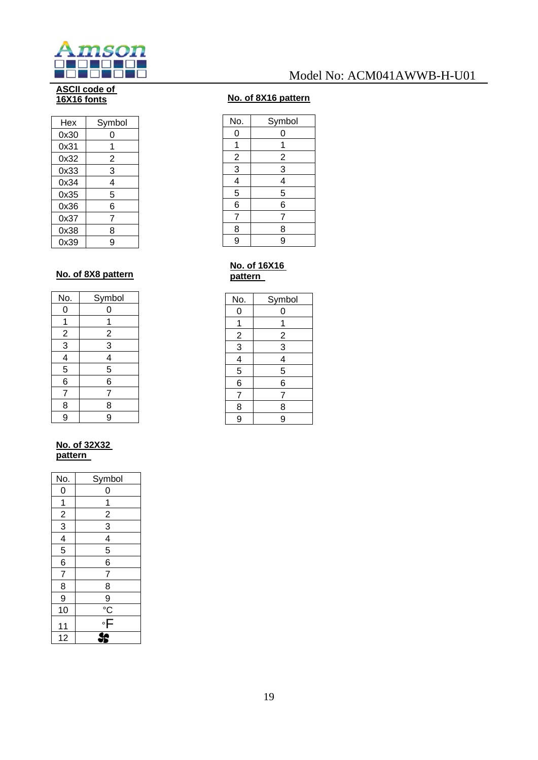

#### **ASCII code of 16X16 fonts**

| Hex  | Symbol |
|------|--------|
| 0x30 | 0      |
| 0x31 |        |
| 0x32 | 2      |
| 0x33 | 3      |
| 0x34 | 4      |
| 0x35 | 5      |
| 0x36 | 6      |
| 0x37 | 7      |
| 0x38 | 8      |
| 0x39 | g      |

#### **No. of 8X8 pattern**

| No.            | Symbol         |
|----------------|----------------|
| 0              | 0              |
| 1              | 1              |
|                | $\overline{2}$ |
| $\frac{2}{3}$  | $\overline{3}$ |
| 4              | 4              |
| $\overline{5}$ | $\overline{5}$ |
| $\overline{6}$ | 6              |
| 7              | 7              |
| 8              | 8              |
| 9              | 9              |

#### **No. of 32X32 pattern**

| <u>No.</u>                                        | Symbol                                 |
|---------------------------------------------------|----------------------------------------|
| 0                                                 | 0                                      |
| $\overline{1}$                                    | 1                                      |
|                                                   |                                        |
|                                                   | $\frac{2}{3}$                          |
| $\begin{array}{c c}\n2 & 3 \\ 4 & 5\n\end{array}$ | $\frac{4}{5}$                          |
|                                                   |                                        |
| $\frac{6}{7}$                                     | $\overline{6}$                         |
|                                                   | $\overline{7}$                         |
| $\overline{8}$                                    | 8                                      |
| 9                                                 | 9                                      |
| 10                                                |                                        |
| 11                                                | $\frac{\partial}{\partial \mathbf{F}}$ |
| 12                                                |                                        |

## Model No: ACM041AWWB-H-U01

#### **No. of 8X16 pattern**

| No.            | Symbol         |
|----------------|----------------|
| 0              | 0              |
| 1              | 1              |
|                |                |
| $\frac{2}{3}$  | $\frac{2}{3}$  |
| $\frac{1}{4}$  | 4              |
| $\overline{5}$ | 5              |
| $\overline{6}$ | $\overline{6}$ |
| $\overline{7}$ | $\overline{7}$ |
| 8              | 8              |
| $\overline{9}$ | 9              |
|                |                |

#### **No. of 16X16 pattern**

| No.                         | Symbol                      |
|-----------------------------|-----------------------------|
| 0                           | 0                           |
| 1                           | 1                           |
|                             |                             |
| $\frac{2}{3}$ $\frac{4}{5}$ | $\frac{2}{3}$ $\frac{4}{5}$ |
|                             |                             |
|                             |                             |
| 6                           | 6                           |
| $\overline{7}$              | 7                           |
| <u>8</u>                    | <u>8</u>                    |
| $\overline{9}$              | 9                           |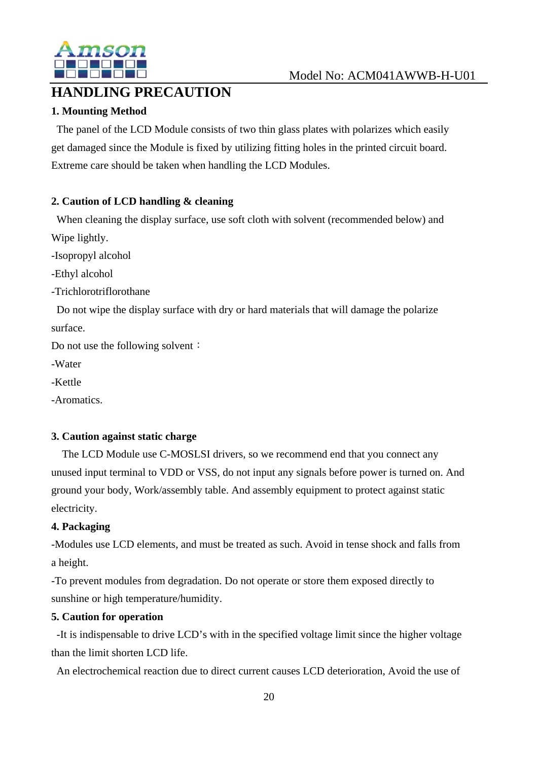

# **HANDLING PRECAUTION**

## **1. Mounting Method**

The panel of the LCD Module consists of two thin glass plates with polarizes which easily get damaged since the Module is fixed by utilizing fitting holes in the printed circuit board. Extreme care should be taken when handling the LCD Modules.

### **2. Caution of LCD handling & cleaning**

When cleaning the display surface, use soft cloth with solvent (recommended below) and Wipe lightly.

-Isopropyl alcohol

-Ethyl alcohol

-Trichlorotriflorothane

Do not wipe the display surface with dry or hard materials that will damage the polarize surface.

Do not use the following solvent:

-Water

-Kettle

-Aromatics.

### **3. Caution against static charge**

The LCD Module use C-MOSLSI drivers, so we recommend end that you connect any unused input terminal to VDD or VSS, do not input any signals before power is turned on. And ground your body, Work/assembly table. And assembly equipment to protect against static electricity.

### **4. Packaging**

-Modules use LCD elements, and must be treated as such. Avoid in tense shock and falls from a height.

-To prevent modules from degradation. Do not operate or store them exposed directly to sunshine or high temperature/humidity.

### **5. Caution for operation**

-It is indispensable to drive LCD's with in the specified voltage limit since the higher voltage than the limit shorten LCD life.

An electrochemical reaction due to direct current causes LCD deterioration, Avoid the use of